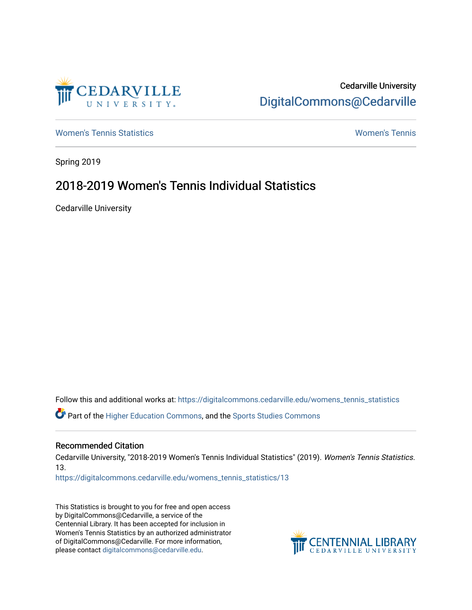

# Cedarville University [DigitalCommons@Cedarville](https://digitalcommons.cedarville.edu/)

[Women's Tennis Statistics](https://digitalcommons.cedarville.edu/womens_tennis_statistics) [Women's Tennis](https://digitalcommons.cedarville.edu/womens_tennis) 

Spring 2019

# 2018-2019 Women's Tennis Individual Statistics

Cedarville University

Follow this and additional works at: [https://digitalcommons.cedarville.edu/womens\\_tennis\\_statistics](https://digitalcommons.cedarville.edu/womens_tennis_statistics?utm_source=digitalcommons.cedarville.edu%2Fwomens_tennis_statistics%2F13&utm_medium=PDF&utm_campaign=PDFCoverPages) 

Part of the [Higher Education Commons,](http://network.bepress.com/hgg/discipline/1245?utm_source=digitalcommons.cedarville.edu%2Fwomens_tennis_statistics%2F13&utm_medium=PDF&utm_campaign=PDFCoverPages) and the [Sports Studies Commons](http://network.bepress.com/hgg/discipline/1198?utm_source=digitalcommons.cedarville.edu%2Fwomens_tennis_statistics%2F13&utm_medium=PDF&utm_campaign=PDFCoverPages) 

#### Recommended Citation

Cedarville University, "2018-2019 Women's Tennis Individual Statistics" (2019). Women's Tennis Statistics. 13.

[https://digitalcommons.cedarville.edu/womens\\_tennis\\_statistics/13](https://digitalcommons.cedarville.edu/womens_tennis_statistics/13?utm_source=digitalcommons.cedarville.edu%2Fwomens_tennis_statistics%2F13&utm_medium=PDF&utm_campaign=PDFCoverPages) 

This Statistics is brought to you for free and open access by DigitalCommons@Cedarville, a service of the Centennial Library. It has been accepted for inclusion in Women's Tennis Statistics by an authorized administrator of DigitalCommons@Cedarville. For more information, please contact [digitalcommons@cedarville.edu](mailto:digitalcommons@cedarville.edu).

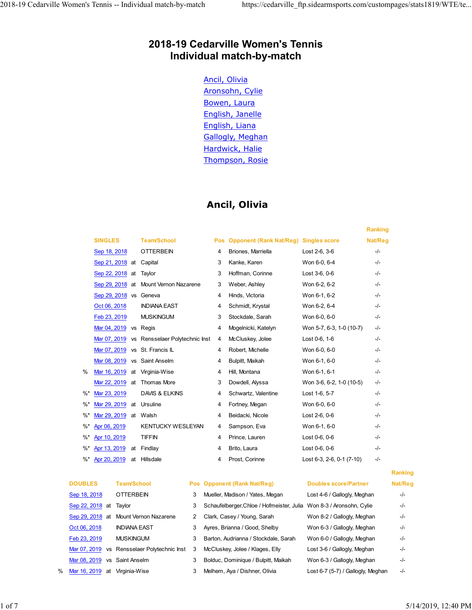# 2018-19 Cedarville Women's Tennis Individual match-by-match 2018-19 Cedarville Women's Tennis -- Individual match-by-match https://cedarville\_ftp.sidearmsports.com/custompages/stats1819/WTE/te...<br>2018-19 Cedarville Women's Tennis<br>19 Individual match by match

#### Ancil, Olivia

|                                       |                        |                                               |              |        | 2018-19 Cedarville Women's Tennis<br>Individual match-by-match                                                                                          |                                   |                |         |                     |
|---------------------------------------|------------------------|-----------------------------------------------|--------------|--------|---------------------------------------------------------------------------------------------------------------------------------------------------------|-----------------------------------|----------------|---------|---------------------|
|                                       |                        |                                               |              |        | Ancil, Olivia<br>Aronsohn, Cylie<br>Bowen, Laura<br>English, Janelle<br>English, Liana<br><b>Gallogly, Meghan</b><br>Hardwick, Halie<br>Thompson, Rosie |                                   |                |         |                     |
|                                       |                        |                                               |              |        | Ancil, Olivia                                                                                                                                           |                                   |                |         |                     |
|                                       |                        |                                               |              |        |                                                                                                                                                         |                                   | <b>Ranking</b> |         |                     |
| <b>SINGLES</b>                        |                        | <b>Team/School</b>                            |              |        | Pos Opponent (Rank Nat/Reg) Singles score                                                                                                               |                                   | Nat/Reg        |         |                     |
| Sep 18, 2018                          |                        | <b>OTTERBEIN</b>                              |              | 4      | Briones, Marriella                                                                                                                                      | Lost 2-6, 3-6                     | -/-            |         |                     |
|                                       |                        | Sep 21, 2018 at Capital                       |              | 3      | Kanke, Karen                                                                                                                                            | Won 6-0, 6-4                      | -/-            |         |                     |
|                                       | Sep 22, 2018 at Taylor |                                               |              | 3      | Hoffman, Corinne                                                                                                                                        | Lost 3-6, 0-6                     | -/-            |         |                     |
|                                       |                        | Sep 29, 2018 at Mount Vernon Nazarene         |              | 3      | Weber, Ashley<br>Hinds, Victoria                                                                                                                        | Won 6-2, 6-2<br>Won 6-1, 6-2      | -/-<br>-/-     |         |                     |
| Oct 06, 2018                          |                        | Sep 29, 2018 vs Geneva<br><b>INDIANA EAST</b> |              | 4      | Schmidt, Krystal                                                                                                                                        | Won 6-2, 6-4                      | -/-            |         |                     |
| Feb 23, 2019                          |                        | <b>MUSKINGUM</b>                              |              | 4<br>3 | Stockdale, Sarah                                                                                                                                        | Won 6-0, 6-0                      | -/-            |         |                     |
|                                       | Mar 04, 2019 vs Regis  |                                               |              | 4      | Mogelnicki, Katelyn                                                                                                                                     | Won 5-7, 6-3, 1-0 (10-7)          | -/-            |         |                     |
|                                       |                        | Mar 07, 2019 vs Rensselaer Polytechnic Inst 4 |              |        | McCluskey, Jolee                                                                                                                                        | Lost 0-6, 1-6                     | -/-            |         |                     |
|                                       |                        | Mar 07, 2019 vs St. Francis IL                |              | 4      | Robert, Michelle                                                                                                                                        | Won 6-0, 6-0                      | -/-            |         |                     |
|                                       |                        | Mar 08, 2019 vs Saint Anselm                  |              | 4      | Bulpitt, Maikah                                                                                                                                         | Won 6-1, 6-0                      | -/-            |         |                     |
| %                                     |                        | Mar 16, 2019 at Virginia-Wise                 |              |        | 4 Hill, Montana                                                                                                                                         | Won 6-1, 6-1                      | -/-            |         |                     |
|                                       |                        | Mar 22, 2019 at Thomas More                   |              |        | 3 Dowdell, Alyssa                                                                                                                                       | Won 3-6, 6-2, 1-0 (10-5)          | $-/-$          |         |                     |
| Mar 23, 2019<br>%*                    |                        | DAVIS & ELKINS                                |              | 4      | Schwartz, Valentine                                                                                                                                     | Lost 1-6, 5-7                     | -/-            |         |                     |
| $\%^{*}$                              |                        | Mar 29, 2019 at Ursuline                      |              | 4      | Fortney, Megan                                                                                                                                          | Won 6-0, 6-0                      | -/-            |         |                     |
| %*                                    | Mar 29, 2019 at Walsh  |                                               |              | 4      | Beidacki, Nicole                                                                                                                                        | Lost 2-6, 0-6                     | -/-            |         |                     |
| %*<br>Apr 06, 2019                    |                        | <b>KENTUCKY WESLEYAN</b>                      |              | 4      | Sampson, Eva                                                                                                                                            | Won 6-1, 6-0                      | -/-            |         |                     |
| $\%^{*}$<br>Apr 10, 2019              |                        | TIFFIN                                        |              | 4      | Prince, Lauren                                                                                                                                          | Lost 0-6, 0-6                     | -/-            |         |                     |
| $\%^*$                                |                        | Apr 13, 2019 at Findlay                       |              | 4      | Brito, Laura                                                                                                                                            | Lost 0-6, 0-6                     | -/-            |         |                     |
| $\%^{*}$                              |                        | Apr 20, 2019 at Hillsdale                     |              | 4      | Prost, Corinne                                                                                                                                          | Lost 6-3, 2-6, 0-1 (7-10)         | -/-            |         |                     |
|                                       |                        |                                               |              |        |                                                                                                                                                         |                                   |                | Ranking |                     |
| <b>DOUBLES</b>                        | <b>Team/School</b>     |                                               |              |        | <b>Pos</b> Opponent (Rank Nat/Reg)                                                                                                                      | <b>Doubles score/Partner</b>      |                | Nat/Reg |                     |
| Sep 18, 2018                          | <b>OTTERBEIN</b>       |                                               | 3            |        | Mueller, Madison / Yates, Megan                                                                                                                         | Lost 4-6 / Gallogly, Meghan       |                | $-/-$   |                     |
| Sep 22, 2018 at                       | Taylor                 |                                               | 3            |        | Schaufelberger, Chloe / Hofmeister, Julia Won 8-3 / Aronsohn, Cylie                                                                                     |                                   |                | -/-     |                     |
| Sep 29, 2018 at Mount Vernon Nazarene |                        |                                               | $\mathbf{2}$ |        | Clark, Casey / Young, Sarah                                                                                                                             | Won 8-2 / Gallogly, Meghan        |                | $-/-$   |                     |
| Oct 06, 2018                          | <b>INDIANA EAST</b>    |                                               | 3            |        | Ayres, Brianna / Good, Shelby                                                                                                                           | Won 6-3 / Gallogly, Meghan        |                | -/-     |                     |
| Feb 23, 2019                          | <b>MUSKINGUM</b>       |                                               | 3            |        | Barton, Audrianna / Stockdale, Sarah                                                                                                                    | Won 6-0 / Gallogly, Meghan        |                | -/-     |                     |
|                                       |                        | Mar 07, 2019 vs Rensselaer Polytechnic Inst   | 3            |        | McCluskey, Jolee / Klages, Elly                                                                                                                         | Lost 3-6 / Gallogly, Meghan       |                | -/-     |                     |
| Mar 08, 2019 vs Saint Anselm          |                        |                                               | 3            |        | Bolduc, Dominique / Bulpitt, Maikah                                                                                                                     | Won 6-3 / Gallogly, Meghan        |                | $-/-$   |                     |
| Mar 16, 2019 at Virginia-Wise         |                        |                                               | 3            |        | Melhem, Aya / Dishner, Olivia                                                                                                                           | Lost 6-7 (5-7) / Gallogly, Meghan |                | $-/-$   |                     |
|                                       |                        |                                               |              |        |                                                                                                                                                         |                                   |                |         |                     |
|                                       |                        |                                               |              |        |                                                                                                                                                         |                                   |                |         |                     |
|                                       |                        |                                               |              |        |                                                                                                                                                         |                                   |                |         | 5/14/2019, 12:40 PM |
|                                       |                        |                                               |              |        |                                                                                                                                                         |                                   |                |         |                     |

| <b>DOUBLES</b>         | <b>Team/School</b>                          | <b>Pos</b> |  |
|------------------------|---------------------------------------------|------------|--|
| Sep 18, 2018           | OTTERBEIN                                   | 3          |  |
| Sep 22, 2018 at Taylor |                                             | 3          |  |
|                        | Sep 29, 2018 at Mount Vernon Nazarene       | 2          |  |
| Oct 06, 2018           | <b>INDIANA EAST</b>                         | 3          |  |
| Feb 23, 2019           | MUSKINGUM                                   | 3          |  |
|                        | Mar 07, 2019 vs Rensselaer Polytechnic Inst | 3          |  |
|                        | Mar 08, 2019 vs Saint Anselm                | 3          |  |
|                        | Mar 16 2010 at Virginia-Wiee                | ર          |  |

| Mueller, Madison / Yates, Megan           |
|-------------------------------------------|
| Schaufelberger, Chloe / Hofmeister, Julia |
| Clark, Casey / Young, Sarah               |
| Ayres, Brianna / Good, Shelby             |
| Barton, Audrianna / Stockdale, Sarah      |
| McCluskey, Jolee / Klages, Elly           |
| Bolduc, Dominique / Bulpitt, Maikah       |
| Melhem, Aya / Dishner, Olivia             |
|                                           |

#### Ranking

|   | <b>Doubles score/Partner</b>          | Nat/Re   |
|---|---------------------------------------|----------|
|   | Lost 4-6 / Gallogly, Meghan           | -/-      |
| E | Won 8-3 / Aronsohn, Cylie             | -/-      |
|   | Won 8-2 / Gallogly, Meghan            | -/-      |
|   | Won 6-3 / Gallogly, Meghan            | -/-      |
|   | Won 6-0 / Gallogly, Meghan            | -/-      |
|   | Lost 3-6 / Gallogly, Meghan           | -/-      |
|   | Won 6-3 / Gallogly, Meghan            | -/-      |
|   | $1$ oot $27$ (E. 7) I Colloghy Moghan | $\prime$ |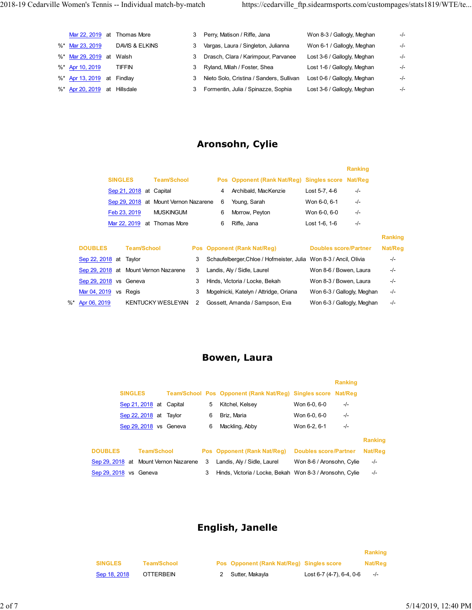| 2018-19 Cedarville Women's Tennis -- Individual match-by-match |                              |                                                           |                                                   | https://cedarville_ftp.sidearmsports.com/custompages/stats1819/WTE/te |       |
|----------------------------------------------------------------|------------------------------|-----------------------------------------------------------|---------------------------------------------------|-----------------------------------------------------------------------|-------|
|                                                                |                              |                                                           |                                                   |                                                                       |       |
|                                                                |                              |                                                           |                                                   |                                                                       |       |
|                                                                | Mar 22, 2019 at Thomas More  | 3                                                         |                                                   | Won 8-3 / Gallogly, Meghan                                            | -/-   |
|                                                                |                              |                                                           | Perry, Matison / Riffe, Jana                      |                                                                       |       |
| %* Mar 23, 2019                                                | DAVIS & ELKINS               |                                                           | 3 Vargas, Laura / Singleton, Julianna             | Won 6-1 / Gallogly, Meghan                                            | $-/-$ |
|                                                                | %* Mar 29, 2019 at Walsh     | 3                                                         | Drasch, Clara / Karimpour, Parvanee               | Lost 3-6 / Gallogly, Meghan                                           | -/-   |
| %* Apr 10, 2019                                                | <b>TIFFIN</b>                | 3                                                         | Ryland, Milah / Foster, Shea                      | Lost 1-6 / Gallogly, Meghan                                           | -/-   |
|                                                                | %* Apr 13, 2019 at Findlay   | 3                                                         | Nieto Solo, Cristina / Sanders, Sullivan          | Lost 0-6 / Gallogly, Meghan                                           | -/-   |
|                                                                | %* Apr 20, 2019 at Hillsdale | 3                                                         | Formentin, Julia / Spinazze, Sophia               | Lost 3-6 / Gallogly, Meghan                                           | -/-   |
|                                                                |                              |                                                           |                                                   |                                                                       |       |
|                                                                |                              |                                                           |                                                   |                                                                       |       |
|                                                                |                              |                                                           |                                                   |                                                                       |       |
|                                                                |                              |                                                           | Aronsohn, Cylie                                   |                                                                       |       |
|                                                                |                              |                                                           |                                                   |                                                                       |       |
|                                                                |                              |                                                           |                                                   | Ranking                                                               |       |
|                                                                | <b>SINGLES</b>               | <b>Team/School</b>                                        | Pos Opponent (Rank Nat/Reg) Singles score Nat/Reg |                                                                       |       |
|                                                                | Sep 21, 2018 at Capital      |                                                           | 4 Archibald, MacKenzie<br>6                       | Lost 5-7, 4-6<br>$-/-$                                                |       |
|                                                                | Feb 23, 2019                 | Sep 29, 2018 at Mount Vernon Nazarene<br><b>MUSKINGUM</b> | Young, Sarah<br>6 Morrow, Peyton                  | $-/-$<br>Won 6-0, 6-1<br>Won 6-0, 6-0<br>$-/-$                        |       |

#### Aronsohn, Cylie

|                                       | <b>SINGLES</b><br>Sep 21, 2018 at Capital<br>Sep 22, 2018 at Taylor<br>Sep 29, 2018 vs Geneva |              | Team/School Pos Opponent (Rank Nat/Reg) Singles score<br>5 Kitchel, Kelsey<br>6 Briz, Maria<br>6 Mackling, Abby | Won 6-0, 6-0<br>Won 6-0, 6-0<br>Won 6-2, 6-1               | Ranking<br>Nat/Reg<br>-/-<br>$-/-$<br>$-/-$ |                |  |
|---------------------------------------|-----------------------------------------------------------------------------------------------|--------------|-----------------------------------------------------------------------------------------------------------------|------------------------------------------------------------|---------------------------------------------|----------------|--|
|                                       |                                                                                               |              | Bowen, Laura                                                                                                    |                                                            |                                             |                |  |
| %*<br>Apr 06, 2019                    | KENTUCKY WESLEYAN                                                                             | $\mathbf{2}$ | Gossett, Amanda / Sampson, Eva                                                                                  | Won 6-3 / Gallogly, Meghan                                 |                                             | -/-            |  |
|                                       | Sep 29, 2018 vs Geneva<br>Mar 04, 2019 vs Regis                                               | 3<br>3       | Hinds, Victoria / Locke, Bekah<br>Mogelnicki, Katelyn / Attridge, Oriana                                        | Won 8-3 / Bowen, Laura<br>Won 6-3 / Gallogly, Meghan       |                                             | -/-<br>-/-     |  |
|                                       | Sep 29, 2018 at Mount Vernon Nazarene                                                         |              | 3 Landis, Aly / Sidle, Laurel                                                                                   | Won 8-6 / Bowen, Laura                                     |                                             | -/-            |  |
| Sep 22, 2018 at                       | Taylor                                                                                        | 3            | <b>Pos</b> Opponent (Rank Nat/Reg)<br>Schaufelberger, Chloe / Hofmeister, Julia Won 8-3 / Ancil, Olivia         | <b>Doubles score/Partner</b>                               |                                             | Nat/Reg<br>-/- |  |
| <b>DOUBLES</b>                        | <b>Team/School</b>                                                                            |              |                                                                                                                 |                                                            |                                             | <b>Ranking</b> |  |
|                                       | Mar 22, 2019 at Thomas More                                                                   |              | 6<br>Riffe, Jana                                                                                                | Lost 1-6, 1-6                                              | -/-                                         |                |  |
|                                       | Feb 23, 2019<br><b>MUSKINGUM</b>                                                              |              | 6<br>Morrow, Peyton                                                                                             | Won 6-0, 6-0                                               | -/-                                         |                |  |
|                                       | Sep 29, 2018 at Mount Vernon Nazarene                                                         |              | 6<br>Young, Sarah                                                                                               | Won 6-0, 6-1                                               | -/-                                         |                |  |
|                                       | Sep 21, 2018 at Capital                                                                       |              | Archibald, MacKenzie<br>4                                                                                       | Lost 5-7, 4-6                                              | -/-                                         |                |  |
|                                       | <b>SINGLES</b><br><b>Team/School</b>                                                          |              | Pos Opponent (Rank Nat/Reg) Singles score Nat/Reg                                                               |                                                            | Ranking                                     |                |  |
|                                       |                                                                                               |              | <b>Aronsohn, Cylie</b>                                                                                          |                                                            |                                             |                |  |
|                                       |                                                                                               |              |                                                                                                                 |                                                            |                                             |                |  |
| Apr 20, 2019                          | at Hillsdale                                                                                  | 3            | Formentin, Julia / Spinazze, Sophia                                                                             | Lost 3-6 / Gallogly, Meghan                                |                                             | -/-            |  |
| Apr 13, 2019 at Findlay               |                                                                                               | 3            | Nieto Solo, Cristina / Sanders, Sullivan                                                                        | Lost 0-6 / Gallogly, Meghan                                |                                             | -/-            |  |
| Mar 29, 2019 at Walsh<br>Apr 10, 2019 | <b>TIFFIN</b>                                                                                 | 3<br>3       | Drasch, Clara / Karimpour, Parvanee<br>Ryland, Milah / Foster, Shea                                             | Lost 3-6 / Gallogly, Meghan<br>Lost 1-6 / Gallogly, Meghan |                                             | -/-<br>-/-     |  |
| Mar 23, 2019                          | DAVIS & ELKINS                                                                                | 3            | Vargas, Laura / Singleton, Julianna                                                                             | Won 6-1 / Gallogly, Meghan                                 |                                             | -/-            |  |
|                                       | Mar 22, 2019 at Thomas More                                                                   | 3            | Perry, Matison / Riffe, Jana                                                                                    | Won 8-3 / Gallogly, Meghan                                 |                                             | -/-            |  |

| p 22, 2018 at Taylor |                                     |   | 3 Schaufelberger, Chloe / Hofmeister, Julia Won 8-3 / Ancil, Olivia |                            |
|----------------------|-------------------------------------|---|---------------------------------------------------------------------|----------------------------|
|                      | p 29, 2018 at Mount Vernon Nazarene | 3 | Landis, Aly / Sidle, Laurel                                         | Won 8-6 / Bowen, Laura     |
| p 29, 2018 vs Geneva |                                     | 3 | Hinds, Victoria / Locke, Bekah                                      | Won 8-3 / Bowen, Laura     |
| r 04, 2019 vs Regis  |                                     | 3 | Mogelnicki, Katelyn / Attridge, Oriana                              | Won 6-3 / Gallogly, Meghan |
| r 06, 2019           | KENTUCKY WESLEYAN 2                 |   | Gossett, Amanda / Sampson, Eva                                      | Won 6-3 / Gallogly, Meghan |

#### Bowen, Laura

|                        |                |                    | $\frac{1}{2}$ $\frac{1}{2}$ $\frac{1}{2}$ $\frac{1}{2}$ $\frac{1}{2}$ $\frac{1}{2}$ at ividual vertical nazare in |   |   | <b>v</b><br>roung, Saran                                          | $V$ V UII U-U, U-I           | −1−                          |         |         |                     |  |
|------------------------|----------------|--------------------|-------------------------------------------------------------------------------------------------------------------|---|---|-------------------------------------------------------------------|------------------------------|------------------------------|---------|---------|---------------------|--|
|                        | Feb 23, 2019   |                    | <b>MUSKINGUM</b>                                                                                                  |   |   | Morrow, Peyton<br>6                                               | Won 6-0, 6-0                 | -/-                          |         |         |                     |  |
|                        |                |                    | Mar 22, 2019 at Thomas More                                                                                       |   |   | Riffe, Jana<br>6                                                  | Lost 1-6, 1-6                | -/-                          |         |         |                     |  |
|                        |                |                    |                                                                                                                   |   |   |                                                                   |                              |                              |         | Ranking |                     |  |
| <b>BLES</b>            |                | <b>Team/School</b> |                                                                                                                   |   |   | Pos Opponent (Rank Nat/Reg)                                       |                              | <b>Doubles score/Partner</b> |         | Nat/Reg |                     |  |
| 22, 2018 at            | Taylor         |                    |                                                                                                                   | 3 |   | Schaufelberger, Chloe / Hofmeister, Julia Won 8-3 / Ancil, Olivia |                              |                              |         | -/-     |                     |  |
|                        |                |                    | 29, 2018 at Mount Vernon Nazarene                                                                                 | 3 |   | Landis, Aly / Sidle, Laurel                                       |                              | Won 8-6 / Bowen, Laura       |         | -/-     |                     |  |
| 29, 2018 vs Geneva     |                |                    |                                                                                                                   | 3 |   | Hinds, Victoria / Locke, Bekah                                    |                              | Won 8-3 / Bowen, Laura       |         | -/-     |                     |  |
| 04, 2019 vs Regis      |                |                    |                                                                                                                   | 3 |   | Mogelnicki, Katelyn / Attridge, Oriana                            |                              | Won 6-3 / Gallogly, Meghan   |         | -/-     |                     |  |
| 6, 2019                |                |                    | KENTUCKY WESLEYAN                                                                                                 | 2 |   | Gossett, Amanda / Sampson, Eva                                    |                              | Won 6-3 / Gallogly, Meghan   |         | -/-     |                     |  |
|                        |                |                    |                                                                                                                   |   |   |                                                                   |                              |                              |         |         |                     |  |
|                        |                |                    |                                                                                                                   |   |   |                                                                   |                              |                              |         |         |                     |  |
|                        |                |                    |                                                                                                                   |   |   |                                                                   |                              |                              |         |         |                     |  |
|                        |                |                    |                                                                                                                   |   |   |                                                                   |                              |                              |         |         |                     |  |
|                        |                |                    |                                                                                                                   |   |   | <b>Bowen, Laura</b>                                               |                              |                              |         |         |                     |  |
|                        |                |                    |                                                                                                                   |   |   |                                                                   |                              |                              |         |         |                     |  |
|                        |                |                    |                                                                                                                   |   |   |                                                                   |                              | <b>Ranking</b>               |         |         |                     |  |
|                        | <b>SINGLES</b> |                    |                                                                                                                   |   |   | Team/School Pos Opponent (Rank Nat/Reg) Singles score Nat/Reg     |                              |                              |         |         |                     |  |
|                        |                |                    | Sep 21, 2018 at Capital                                                                                           |   | 5 | Kitchel, Kelsey                                                   | Won 6-0, 6-0                 | -/-                          |         |         |                     |  |
|                        |                |                    | Sep 22, 2018 at Taylor                                                                                            |   | 6 | Briz, Maria                                                       | Won 6-0, 6-0                 | -/-                          |         |         |                     |  |
|                        |                |                    | Sep 29, 2018 vs Geneva                                                                                            |   | 6 | Mackling, Abby                                                    | Won 6-2, 6-1                 | -/-                          |         |         |                     |  |
|                        |                |                    |                                                                                                                   |   |   |                                                                   |                              |                              | Ranking |         |                     |  |
| <b>DOUBLES</b>         |                |                    | <b>Team/School</b>                                                                                                |   |   | <b>Pos</b> Opponent (Rank Nat/Reg)                                | <b>Doubles score/Partner</b> |                              | Nat/Reg |         |                     |  |
|                        |                |                    | Sep 29, 2018 at Mount Vernon Nazarene                                                                             |   | 3 | Landis, Aly / Sidle, Laurel                                       |                              | Won 8-6 / Aronsohn, Cylie    | -/-     |         |                     |  |
| Sep 29, 2018 vs Geneva |                |                    |                                                                                                                   |   | 3 | Hinds, Victoria / Locke, Bekah Won 8-3 / Aronsohn, Cylie          |                              |                              | -/-     |         |                     |  |
|                        |                |                    |                                                                                                                   |   |   |                                                                   |                              |                              |         |         |                     |  |
|                        |                |                    |                                                                                                                   |   |   |                                                                   |                              |                              |         |         |                     |  |
|                        |                |                    |                                                                                                                   |   |   |                                                                   |                              |                              |         |         |                     |  |
|                        |                |                    |                                                                                                                   |   |   |                                                                   |                              |                              |         |         |                     |  |
|                        |                |                    |                                                                                                                   |   |   | <b>English, Janelle</b>                                           |                              |                              |         |         |                     |  |
|                        |                |                    |                                                                                                                   |   |   |                                                                   |                              |                              |         |         |                     |  |
|                        |                |                    |                                                                                                                   |   |   |                                                                   |                              |                              | Ranking |         |                     |  |
| <b>SINGLES</b>         |                |                    | <b>Team/School</b>                                                                                                |   |   | Pos Opponent (Rank Nat/Reg) Singles score                         |                              |                              | Nat/Reg |         |                     |  |
| Sep 18, 2018           |                |                    | <b>OTTERBEIN</b>                                                                                                  |   |   | 2 Sutter, Makayla                                                 |                              | Lost 6-7 (4-7), 6-4, 0-6     | $-/-$   |         |                     |  |
|                        |                |                    |                                                                                                                   |   |   |                                                                   |                              |                              |         |         |                     |  |
|                        |                |                    |                                                                                                                   |   |   |                                                                   |                              |                              |         |         | 5/14/2019, 12:40 PM |  |
|                        |                |                    |                                                                                                                   |   |   |                                                                   |                              |                              |         |         |                     |  |

#### English, Janelle

|                |             |                                           |                          | Ranking |
|----------------|-------------|-------------------------------------------|--------------------------|---------|
| <b>SINGLES</b> | Team/School | Pos Opponent (Rank Nat/Reg) Singles score |                          | Nat/Reg |
| Sep 18, 2018   | OTTERBEIN   | Sutter, Makayla                           | Lost 6-7 (4-7), 6-4, 0-6 | $-I -$  |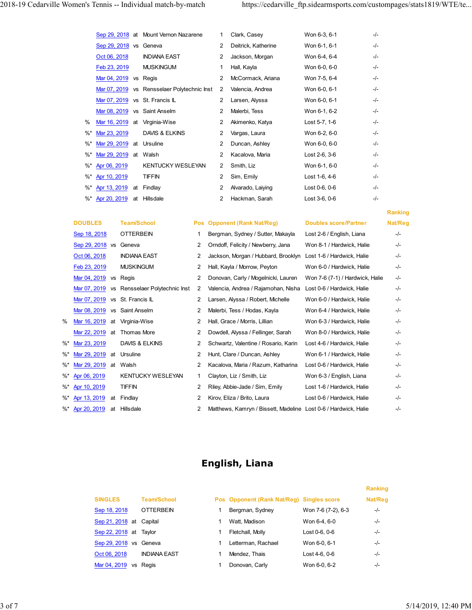|  |                                 |                        | 2018-19 Cedarville Women's Tennis -- Individual match-by-match |                |                |                                                                |                                 |                | https://cedarville_ftp.sidearmsports.com/custompages/stats1819/WTE/te |
|--|---------------------------------|------------------------|----------------------------------------------------------------|----------------|----------------|----------------------------------------------------------------|---------------------------------|----------------|-----------------------------------------------------------------------|
|  |                                 |                        |                                                                |                |                |                                                                |                                 |                |                                                                       |
|  |                                 |                        | Sep 29, 2018 at Mount Vernon Nazarene                          |                | $\mathbf{1}$   | Clark, Casey                                                   | Won 6-3, 6-1                    | $-/-$          |                                                                       |
|  |                                 | Sep 29, 2018 vs Geneva |                                                                |                | 2              | Deitrick, Katherine                                            | Won 6-1, 6-1                    | $-/-$          |                                                                       |
|  | Oct 06, 2018                    |                        | <b>INDIANA EAST</b>                                            |                |                | 2 Jackson, Morgan                                              | Won 6-4, 6-4                    | -/-            |                                                                       |
|  | Feb 23, 2019                    |                        | <b>MUSKINGUM</b>                                               |                | $\mathbf{1}$   | Hall, Kayla                                                    | Won 6-0, 6-0                    | -/-            |                                                                       |
|  |                                 | Mar 04, 2019 vs Regis  |                                                                |                |                | 2 McCormack, Ariana                                            | Won 7-5, 6-4                    | $-/-$          |                                                                       |
|  |                                 |                        | Mar 07, 2019 vs Rensselaer Polytechnic Inst 2                  |                |                | Valencia, Andrea                                               | Won 6-0, 6-1                    | $-/-$          |                                                                       |
|  |                                 |                        | Mar 07, 2019 vs St. Francis IL                                 |                |                | 2 Larsen, Alyssa                                               | Won 6-0, 6-1                    | -/-            |                                                                       |
|  |                                 |                        | Mar 08, 2019 vs Saint Anselm                                   |                | 2              | 2 Malerbi, Tess<br>Akimenko, Katya                             | Won 6-1, 6-2<br>Lost 5-7, 1-6   | $-/-$<br>$-/-$ |                                                                       |
|  | Mar 23, 2019<br>%*              |                        | % Mar 16, 2019 at Virginia-Wise<br>DAVIS & ELKINS              |                | 2              | Vargas, Laura                                                  | Won 6-2, 6-0                    | $-/-$          |                                                                       |
|  | %* Mar 29, 2019 at Ursuline     |                        |                                                                |                |                | 2 Duncan, Ashley                                               | Won 6-0, 6-0                    | $-/-$          |                                                                       |
|  | %* Mar 29, 2019 at Walsh        |                        |                                                                |                | $\overline{2}$ | Kacalova, Maria                                                | Lost 2-6, 3-6                   | -/-            |                                                                       |
|  | %* Apr 06, 2019                 |                        | KENTUCKY WESLEYAN                                              |                |                | 2 Smith, Liz                                                   | Won 6-1, 6-0                    | -/-            |                                                                       |
|  | %* Apr 10, 2019                 |                        | <b>TIFFIN</b>                                                  |                | $\overline{2}$ | Sim, Emily                                                     | Lost 1-6, 4-6                   | -/-            |                                                                       |
|  | %* Apr 13, 2019 at Findlay      |                        |                                                                |                | $\overline{2}$ | Alvarado, Laiying                                              | Lost 0-6, 0-6                   | $-/-$          |                                                                       |
|  | %* Apr 20, 2019 at Hillsdale    |                        |                                                                |                | $\overline{2}$ | Hackman, Sarah                                                 | Lost 3-6, 0-6                   | $-/-$          |                                                                       |
|  |                                 |                        |                                                                |                |                |                                                                |                                 |                | Ranking                                                               |
|  | <b>DOUBLES</b>                  | <b>Team/School</b>     |                                                                |                |                | Pos Opponent (Rank Nat/Reg)                                    | <b>Doubles score/Partner</b>    |                | Nat/Reg                                                               |
|  | Sep 18, 2018                    | <b>OTTERBEIN</b>       |                                                                |                |                | Bergman, Sydney / Sutter, Makayla                              | Lost 2-6 / English, Liana       |                | $-/-$                                                                 |
|  | Sep 29, 2018 vs Geneva          |                        |                                                                |                |                | 2 Orndoff, Felicity / Newberry, Jana                           | Won 8-1 / Hardwick, Halie       |                | -/-                                                                   |
|  | Oct 06, 2018                    | <b>INDIANA EAST</b>    |                                                                | $\mathbf{2}$   |                | Jackson, Morgan / Hubbard, Brooklyn Lost 1-6 / Hardwick, Halie |                                 |                | -/-                                                                   |
|  | Feb 23, 2019                    | <b>MUSKINGUM</b>       |                                                                | $\mathbf{2}$   |                | Hall, Kayla / Morrow, Peyton                                   | Won 6-0 / Hardwick, Halie       |                | -/-                                                                   |
|  | Mar 04, 2019 vs Regis           |                        |                                                                | $\mathbf{2}$   |                | Donovan, Carly / Mogelnicki, Lauren                            | Won 7-6 (7-1) / Hardwick, Halie |                | -/-                                                                   |
|  |                                 |                        | Mar 07, 2019 vs Rensselaer Polytechnic Inst                    | $\overline{2}$ |                | Valencia, Andrea / Rajamohan, Nisha Lost 0-6 / Hardwick, Halie |                                 |                | -/-                                                                   |
|  | Mar 07, 2019 vs St. Francis IL  |                        |                                                                |                |                | 2 Larsen, Alyssa / Robert, Michelle                            | Won 6-0 / Hardwick, Halie       |                | -/-                                                                   |
|  | Mar 08, 2019 vs Saint Anselm    |                        |                                                                | $\mathbf{2}$   |                | Malerbi, Tess / Hodas, Kayla                                   | Won 6-4 / Hardwick, Halie       |                | -/-                                                                   |
|  | % Mar 16, 2019 at Virginia-Wise |                        |                                                                |                |                | 2 Hall, Grace / Morris, Lillian                                | Won 6-3 / Hardwick, Halie       |                | -/-                                                                   |

|    |                                | Mar 07, 2019 vs Rensselaer Polytechnic Inst   |                | 2<br>Valencia, Andrea                                           | Won 6-0, 6-1                    | -/-     |                |  |
|----|--------------------------------|-----------------------------------------------|----------------|-----------------------------------------------------------------|---------------------------------|---------|----------------|--|
|    |                                | Mar 07, 2019 vs St. Francis IL                |                | 2<br>Larsen, Alyssa                                             | Won 6-0, 6-1                    | -/-     |                |  |
|    |                                | Mar 08, 2019 vs Saint Anselm                  |                | Malerbi, Tess<br>2                                              | Won 6-1, 6-2                    | -/-     |                |  |
|    | %                              | Mar 16, 2019 at Virginia-Wise                 |                | 2<br>Akimenko, Katya                                            | Lost 5-7, 1-6                   | -/-     |                |  |
|    | Mar 23, 2019<br>%*             | DAVIS & ELKINS                                |                | 2<br>Vargas, Laura                                              | Won 6-2, 6-0                    | -/-     |                |  |
|    | %*                             | Mar 29, 2019 at Ursuline                      |                | Duncan, Ashley<br>2                                             | Won 6-0, 6-0                    | -/-     |                |  |
|    | %*                             | Mar 29, 2019 at Walsh                         |                | Kacalova, Maria<br>2                                            | Lost 2-6, 3-6                   | -/-     |                |  |
|    | Apr 06, 2019<br>%*             | <b>KENTUCKY WESLEYAN</b>                      |                | Smith, Liz<br>$\mathbf{2}$                                      | Won 6-1, 6-0                    | -/-     |                |  |
|    | Apr 10, 2019<br>%*             | <b>TIFFIN</b>                                 |                | Sim, Emily<br>2                                                 | Lost 1-6, 4-6                   | -/-     |                |  |
|    | Apr 13, 2019<br>%*             | at<br>Findlay                                 |                | 2<br>Alvarado, Laiying                                          | Lost 0-6, 0-6                   | -/-     |                |  |
|    | %*                             | Apr 20, 2019 at Hillsdale                     |                | 2<br>Hackman, Sarah                                             | Lost 3-6, 0-6                   | -/-     |                |  |
|    |                                |                                               |                |                                                                 |                                 |         | <b>Ranking</b> |  |
|    | <b>DOUBLES</b>                 | <b>Team/School</b>                            | Pos            | <b>Opponent (Rank Nat/Reg)</b>                                  | <b>Doubles score/Partner</b>    |         | Nat/Reg        |  |
|    | Sep 18, 2018                   | <b>OTTERBEIN</b>                              |                | Bergman, Sydney / Sutter, Makayla                               | Lost 2-6 / English, Liana       |         | -/-            |  |
|    | Sep 29, 2018 vs                | Geneva                                        | 2              | Orndoff, Felicity / Newberry, Jana                              | Won 8-1 / Hardwick, Halie       |         | -/-            |  |
|    |                                |                                               |                |                                                                 |                                 |         |                |  |
|    | Oct 06, 2018                   | <b>INDIANA EAST</b>                           | 2              | Jackson, Morgan / Hubbard, Brooklyn                             | Lost 1-6 / Hardwick, Halie      |         | -/-            |  |
|    | Feb 23, 2019                   | <b>MUSKINGUM</b>                              | 2              | Hall, Kayla / Morrow, Peyton                                    | Won 6-0 / Hardwick, Halie       |         | -/-            |  |
|    | Mar 04, 2019 vs Regis          |                                               | $\overline{2}$ | Donovan, Carly / Mogelnicki, Lauren                             | Won 7-6 (7-1) / Hardwick, Halie |         | -/-            |  |
|    |                                | Mar 07, 2019 vs Rensselaer Polytechnic Inst 2 |                | Valencia, Andrea / Rajamohan, Nisha                             | Lost 0-6 / Hardwick, Halie      |         | -/-            |  |
|    | Mar 07, 2019 vs St. Francis IL |                                               | 2              | Larsen, Alyssa / Robert, Michelle                               | Won 6-0 / Hardwick, Halie       |         | -/-            |  |
|    | Mar 08, 2019 vs Saint Anselm   |                                               | 2              | Malerbi, Tess / Hodas, Kayla                                    | Won 6-4 / Hardwick, Halie       |         | -/-            |  |
| ℅  | Mar 16, 2019 at Virginia-Wise  |                                               | 2              | Hall, Grace / Morris, Lillian                                   | Won 6-3 / Hardwick, Halie       |         | -/-            |  |
|    | Mar 22, 2019 at                | Thomas More                                   | 2              | Dowdell, Alyssa / Fellinger, Sarah                              | Won 8-0 / Hardwick, Halie       |         | -/-            |  |
| %* | Mar 23, 2019                   | DAVIS & ELKINS                                | 2              | Schwartz, Valentine / Rosario, Karin                            | Lost 4-6 / Hardwick, Halie      |         | -/-            |  |
| %* | Mar 29, 2019 at                | Ursuline                                      | 2              | Hunt, Clare / Duncan, Ashley                                    | Won 6-1 / Hardwick, Halie       |         | -/-            |  |
| %* | Mar 29, 2019 at Walsh          |                                               | 2              | Kacalova, Maria / Razum, Katharina                              | Lost 0-6 / Hardwick, Halie      |         | -/-            |  |
| %* | Apr 06, 2019                   | KENTUCKY WESLEYAN                             | 1              | Clayton, Liz / Smith, Liz                                       | Won 6-3 / English, Liana        |         | -/-            |  |
|    | %* Apr 10, 2019                | TIFFIN                                        | 2              | Riley, Abbie-Jade / Sim, Emily                                  | Lost 1-6 / Hardwick, Halie      |         | -/-            |  |
|    | %* Apr 13, 2019 at             | Findlay                                       | 2              | Kirov, Eliza / Brito, Laura                                     | Lost 0-6 / Hardwick, Halie      |         | -/-            |  |
|    | %* Apr 20, 2019<br>at          | Hillsdale                                     | 2              | Matthews, Kamryn / Bissett, Madeline Lost 0-6 / Hardwick, Halie |                                 |         | -/-            |  |
|    |                                |                                               |                | English, Liana                                                  |                                 |         |                |  |
|    |                                |                                               |                |                                                                 |                                 | Ranking |                |  |
|    | <b>SINGLES</b>                 | <b>Team/School</b>                            |                | Pos Opponent (Rank Nat/Reg) Singles score                       |                                 | Nat/Reg |                |  |
|    | Sep 18, 2018                   | <b>OTTERBEIN</b>                              |                | Bergman, Sydney<br>-1                                           | Won 7-6 (7-2), 6-3              | $-/-$   |                |  |
|    |                                | Sep 21, 2018 at Capital                       |                | Watt, Madison<br>-1                                             | Won 6-4, 6-0                    | $-/-$   |                |  |
|    |                                |                                               |                |                                                                 |                                 |         |                |  |
|    |                                | Sep 22, 2018 at Taylor                        |                | Fletchall, Molly                                                | Lost 0-6, 0-6                   | $-/-$   |                |  |
|    |                                | Sep 29, 2018 vs Geneva                        |                | Letterman, Rachael<br>-1                                        | Won 6-0, 6-1                    | $-/-$   |                |  |
|    | Oct 06, 2018                   | <b>INDIANA EAST</b>                           |                | Mendez, Thais                                                   | Lost 4-6, 0-6                   | $-/-$   |                |  |
|    |                                | Mar 04, 2019 vs Regis                         |                | Donovan, Carly<br>$\mathbf{1}$                                  | Won 6-0, 6-2                    | $-/-$   |                |  |
|    |                                |                                               |                |                                                                 |                                 |         |                |  |

## English, Liana

| 23, 2019               |               | DAVIS & ELKINS           | 2              |    | Schwartz, Valentine / Rosario, Karin                            | Lost 4-6 / Hardwick, Halie |                | -/-   |                     |
|------------------------|---------------|--------------------------|----------------|----|-----------------------------------------------------------------|----------------------------|----------------|-------|---------------------|
| 29, 2019 at Ursuline   |               |                          | 2              |    | Hunt, Clare / Duncan, Ashley                                    | Won 6-1 / Hardwick, Halie  |                | $-/-$ |                     |
| 29, 2019 at            | Walsh         |                          | $\overline{2}$ |    | Kacalova, Maria / Razum, Katharina                              | Lost 0-6 / Hardwick, Halie |                | $-/-$ |                     |
| 06, 2019               |               | <b>KENTUCKY WESLEYAN</b> | 1              |    | Clayton, Liz / Smith, Liz                                       | Won 6-3 / English, Liana   |                | $-/-$ |                     |
| 10, 2019               | <b>TIFFIN</b> |                          | 2              |    | Riley, Abbie-Jade / Sim, Emily                                  | Lost 1-6 / Hardwick, Halie |                | $-/-$ |                     |
| 13, 2019 at Findlay    |               |                          | 2              |    | Kirov, Eliza / Brito, Laura                                     | Lost 0-6 / Hardwick, Halie |                | $-/-$ |                     |
| 20, 2019 at Hillsdale  |               |                          | 2              |    | Matthews, Kamryn / Bissett, Madeline Lost 0-6 / Hardwick, Halie |                            |                | $-/-$ |                     |
|                        |               |                          |                |    |                                                                 |                            |                |       |                     |
|                        |               |                          |                |    |                                                                 |                            |                |       |                     |
|                        |               |                          |                |    |                                                                 |                            |                |       |                     |
|                        |               |                          |                |    |                                                                 |                            |                |       |                     |
|                        |               |                          |                |    | English, Liana                                                  |                            |                |       |                     |
|                        |               |                          |                |    |                                                                 |                            |                |       |                     |
|                        |               |                          |                |    |                                                                 |                            | <b>Ranking</b> |       |                     |
| <b>SINGLES</b>         |               | <b>Team/School</b>       |                |    | Pos Opponent (Rank Nat/Reg) Singles score                       |                            | Nat/Reg        |       |                     |
| Sep 18, 2018           |               | <b>OTTERBEIN</b>         |                |    | Bergman, Sydney                                                 | Won 7-6 (7-2), 6-3         | -/-            |       |                     |
| Sep 21, 2018 at        |               | Capital                  |                | -1 | Watt, Madison                                                   | Won 6-4, 6-0               | -/-            |       |                     |
| Sep 22, 2018 at Taylor |               |                          |                |    | Fletchall, Molly                                                | Lost 0-6, 0-6              | -/-            |       |                     |
| Sep 29, 2018 vs Geneva |               |                          |                |    | Letterman, Rachael                                              | Won 6-0, 6-1               | $-/-$          |       |                     |
| Oct 06, 2018           |               | <b>INDIANA EAST</b>      |                | -1 | Mendez, Thais                                                   | Lost 4-6, 0-6              | $-/-$          |       |                     |
| Mar 04, 2019 vs Regis  |               |                          |                |    | Donovan, Carly                                                  | Won 6-0, 6-2               | $-/-$          |       |                     |
|                        |               |                          |                |    |                                                                 |                            |                |       |                     |
|                        |               |                          |                |    |                                                                 |                            |                |       |                     |
|                        |               |                          |                |    |                                                                 |                            |                |       |                     |
|                        |               |                          |                |    |                                                                 |                            |                |       | 5/14/2019, 12:40 PM |
|                        |               |                          |                |    |                                                                 |                            |                |       |                     |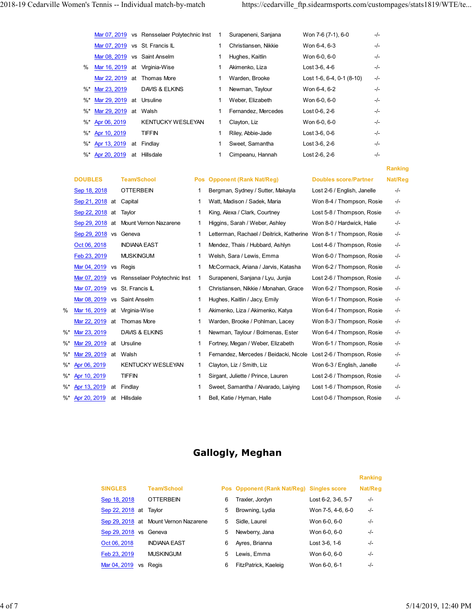| 2018-19 Cedarville Women's Tennis -- Individual match-by-match |                                               |                                |              |                                                                          | https://cedarville ftp.sidearmsports.com/custompages/stats1819/WTE/te |       |              |
|----------------------------------------------------------------|-----------------------------------------------|--------------------------------|--------------|--------------------------------------------------------------------------|-----------------------------------------------------------------------|-------|--------------|
|                                                                |                                               |                                |              |                                                                          |                                                                       |       |              |
|                                                                |                                               |                                |              |                                                                          |                                                                       |       |              |
|                                                                | Mar 07, 2019 vs Rensselaer Polytechnic Inst 1 |                                |              | Surapeneni, Sanjana                                                      | Won 7-6 (7-1), 6-0                                                    | $-/-$ |              |
|                                                                | Mar 07, 2019 vs St. Francis IL                |                                | 1            | Christiansen, Nikkie                                                     | Won 6-4, 6-3                                                          | $-/-$ |              |
|                                                                | Mar 08, 2019 vs Saint Anselm                  |                                | $\mathbf{1}$ | Hughes, Kaitlin                                                          | Won 6-0, 6-0                                                          | -/-   |              |
|                                                                | % Mar 16, 2019 at Virginia-Wise               |                                | $\mathbf{1}$ | Akimenko, Liza                                                           | Lost 3-6, 4-6                                                         | $-/-$ |              |
|                                                                | Mar 22, 2019 at Thomas More                   |                                | 1            | Warden, Brooke                                                           | Lost 1-6, 6-4, 0-1 (8-10)                                             | $-/-$ |              |
| %* Mar 23, 2019                                                | DAVIS & ELKINS                                |                                | $\mathbf{1}$ | Newman, Taylour                                                          | Won 6-4, 6-2                                                          | -/-   |              |
| %*                                                             | Mar 29, 2019 at Ursuline                      |                                | 1            | Weber, Elizabeth                                                         | Won 6-0, 6-0                                                          | $-/-$ |              |
| %* Mar 29, 2019 at Walsh                                       |                                               |                                | $\mathbf{1}$ | Fernandez, Mercedes                                                      | Lost 0-6, 2-6                                                         | $-/-$ |              |
| %* Apr 06, 2019                                                | KENTUCKY WESLEYAN                             |                                | $\mathbf{1}$ | Clayton, Liz                                                             | Won 6-0, 6-0                                                          | $-/-$ |              |
| %* Apr 10, 2019                                                | <b>TIFFIN</b>                                 |                                | $\mathbf{1}$ | Riley, Abbie-Jade                                                        | Lost 3-6, 0-6                                                         | $-/-$ |              |
| %* Apr 13, 2019 at Findlay                                     |                                               |                                | $\mathbf{1}$ | Sweet, Samantha                                                          | Lost 3-6, 2-6                                                         | $-/-$ |              |
| %* Apr 20, 2019 at Hillsdale                                   |                                               |                                | $\mathbf{1}$ | Cimpeanu, Hannah                                                         | Lost 2-6, 2-6                                                         | $-/-$ |              |
|                                                                |                                               |                                |              |                                                                          |                                                                       |       | Ranking      |
| <b>DOUBLES</b>                                                 | <b>Team/School</b>                            |                                |              | <b>Pos Opponent (Rank Nat/Reg)</b>                                       | <b>Doubles score/Partner</b>                                          |       | Nat/Reg      |
| Sep 18, 2018                                                   | <b>OTTERBEIN</b>                              | $\overline{1}$                 |              | Bergman, Sydney / Sutter, Makayla                                        | Lost 2-6 / English, Janelle                                           |       | $-/-$        |
| Sep 21, 2018 at Capital                                        |                                               | -1                             |              | Watt, Madison / Sadek, Maria                                             | Won 8-4 / Thompson, Rosie                                             |       | -/-          |
| Sep 22, 2018 at Taylor                                         |                                               |                                |              | King, Alexa / Clark, Courtney                                            | Lost 5-8 / Thompson, Rosie                                            |       | -/-          |
|                                                                | Sep 29, 2018 at Mount Vernon Nazarene         | -1                             |              | Higgins, Sarah / Weber, Ashley                                           | Won 8-0 / Hardwick, Halie                                             |       | -/-          |
| Sep 29, 2018 vs Geneva                                         |                                               | -1                             |              | Letterman, Rachael / Deitrick, Katherine Won 8-1 / Thompson, Rosie       |                                                                       |       | -/-          |
| Oct 06, 2018                                                   | <b>INDIANA EAST</b>                           | -1                             |              | Mendez, Thais / Hubbard, Ashlyn                                          | Lost 4-6 / Thompson, Rosie                                            |       | -/-          |
|                                                                |                                               |                                |              |                                                                          |                                                                       |       |              |
|                                                                |                                               |                                |              |                                                                          |                                                                       |       |              |
| Feb 23, 2019                                                   | <b>MUSKINGUM</b>                              | -1                             |              | Welsh, Sara / Lewis, Emma                                                | Won 6-0 / Thompson, Rosie                                             |       | $-/-$        |
| Mar 04, 2019 vs Regis                                          | Mar 07, 2019 vs Rensselaer Polytechnic Inst   | $\mathbf{1}$<br>$\overline{1}$ |              | McCormack, Ariana / Jarvis, Katasha<br>Surapeneni, Sanjana / Lyu, Junjia | Won 6-2 / Thompson, Rosie<br>Lost 2-6 / Thompson, Rosie               |       | -/-<br>$-/-$ |

|    | Mar 07, 2019 vs St. Francis IL                   | Christiansen, Nikkie                      | Won 6-4, 6-3                 | -/-            |  |
|----|--------------------------------------------------|-------------------------------------------|------------------------------|----------------|--|
|    | Mar 08, 2019 vs Saint Anselm                     | Hughes, Kaitlin                           | Won 6-0, 6-0                 | -/-            |  |
|    | Mar 16, 2019 at Virginia-Wise<br>%               | Akimenko, Liza                            | Lost 3-6, 4-6                | -/-            |  |
|    | Mar 22, 2019 at Thomas More                      | Warden, Brooke                            | Lost 1-6, 6-4, 0-1 $(8-10)$  | -/-            |  |
|    | Mar 23, 2019<br>DAVIS & ELKINS<br>$\%^*$         | Newman, Taylour                           | Won 6-4, 6-2                 | -/-            |  |
|    | Mar 29, 2019 at Ursuline<br>$\%^*$               | Weber, Elizabeth                          | Won 6-0, 6-0                 | -/-            |  |
|    | $\%^{*}$<br>Mar 29, 2019 at Walsh                | Fernandez, Mercedes                       | Lost 0-6, 2-6                | -/-            |  |
|    |                                                  |                                           |                              |                |  |
|    | Apr 06, 2019<br><b>KENTUCKY WESLEYAN</b><br>%*   | Clayton, Liz<br>1                         | Won 6-0, 6-0                 | -/-            |  |
|    | <b>TIFFIN</b><br>$\%^{*}$<br>Apr 10, 2019        | Riley, Abbie-Jade                         | Lost 3-6, 0-6                | -/-            |  |
|    | Apr 13, 2019 at Findlay<br>$\%^*$                | Sweet, Samantha                           | Lost 3-6, 2-6                | -/-            |  |
|    | Apr 20, 2019 at Hillsdale<br>%*                  | Cimpeanu, Hannah                          | Lost 2-6, 2-6                | -/-            |  |
|    |                                                  |                                           |                              | <b>Ranking</b> |  |
|    | <b>DOUBLES</b><br><b>Team/School</b><br>Pos      | <b>Opponent (Rank Nat/Reg)</b>            | <b>Doubles score/Partner</b> | Nat/Reg        |  |
|    | <b>OTTERBEIN</b><br>Sep 18, 2018                 | Bergman, Sydney / Sutter, Makayla         | Lost 2-6 / English, Janelle  | -/-            |  |
|    | Sep 21, 2018 at<br>Capital                       | Watt, Madison / Sadek, Maria              | Won 8-4 / Thompson, Rosie    | -/-            |  |
|    | Sep 22, 2018 at<br>Taylor<br>1                   | King, Alexa / Clark, Courtney             | Lost 5-8 / Thompson, Rosie   | -/-            |  |
|    | Sep 29, 2018 at<br>Mount Vernon Nazarene<br>1    | Higgins, Sarah / Weber, Ashley            | Won 8-0 / Hardwick, Halie    | -/-            |  |
|    | Sep 29, 2018 vs Geneva<br>1                      | Letterman, Rachael / Deitrick, Katherine  | Won 8-1 / Thompson, Rosie    | -/-            |  |
|    | Oct 06, 2018<br><b>INDIANA EAST</b><br>1         | Mendez, Thais / Hubbard, Ashlyn           | Lost 4-6 / Thompson, Rosie   | -/-            |  |
|    | Feb 23, 2019<br><b>MUSKINGUM</b>                 | Welsh, Sara / Lewis, Emma                 | Won 6-0 / Thompson, Rosie    | -/-            |  |
|    | Mar 04, 2019 vs Regis<br>1                       | McCormack, Ariana / Jarvis, Katasha       | Won 6-2 / Thompson, Rosie    | -/-            |  |
|    | Mar 07, 2019 vs Rensselaer Polytechnic Inst 1    | Surapeneni, Sanjana / Lyu, Junjia         | Lost 2-6 / Thompson, Rosie   | -/-            |  |
|    | Mar 07, 2019 vs St. Francis IL                   | Christiansen, Nikkie / Monahan, Grace     | Won 6-2 / Thompson, Rosie    | -/-            |  |
|    | Mar 08, 2019 vs Saint Anselm                     | Hughes, Kaitlin / Jacy, Emily             | Won 6-1 / Thompson, Rosie    | -/-            |  |
| %  | Mar 16, 2019 at Virginia-Wise                    | Akimenko, Liza / Akimenko, Katya          | Won 6-4 / Thompson, Rosie    | -/-            |  |
|    | Mar 22, 2019 at Thomas More                      | Warden, Brooke / Pohlman, Lacey           | Won 8-3 / Thompson, Rosie    | -/-            |  |
| %* | DAVIS & ELKINS<br>Mar 23, 2019<br>1              | Newman, Taylour / Bolmenas, Ester         | Won 6-4 / Thompson, Rosie    | -/-            |  |
| %* | Mar 29, 2019 at<br>Ursuline                      | Fortney, Megan / Weber, Elizabeth         | Won 6-1 / Thompson, Rosie    | -/-            |  |
|    | %* Mar 29, 2019 at Walsh                         |                                           |                              |                |  |
|    |                                                  | Fernandez, Mercedes / Beidacki, Nicole    | Lost 2-6 / Thompson, Rosie   | -/-            |  |
|    | %* Apr 06, 2019<br><b>KENTUCKY WESLEYAN</b><br>1 | Clayton, Liz / Smith, Liz                 | Won 6-3 / English, Janelle   | -/-            |  |
|    | %* Apr 10, 2019<br><b>TIFFIN</b>                 | Sirgant, Juliette / Prince, Lauren        | Lost 2-6 / Thompson, Rosie   | -/-            |  |
|    | %* Apr 13, 2019 at Findlay                       | Sweet, Samantha / Alvarado, Laiying       | Lost 1-6 / Thompson, Rosie   | -/-            |  |
|    | %* Apr 20, 2019 at Hillsdale                     | 1 Bell, Katie / Hyman, Halle              | Lost 0-6 / Thompson, Rosie   | $-/-$          |  |
|    |                                                  | <b>Gallogly, Meghan</b>                   |                              |                |  |
|    |                                                  |                                           | Ranking                      |                |  |
|    | <b>SINGLES</b>                                   |                                           |                              |                |  |
|    | <b>Team/School</b><br><b>OTTERBEIN</b>           | Pos Opponent (Rank Nat/Reg) Singles score | Nat/Reg                      |                |  |
|    | Sep 18, 2018                                     | Traxler, Jordyn<br>6                      | Lost 6-2, 3-6, 5-7<br>$-/-$  |                |  |
|    | Sep 22, 2018 at Taylor                           | Browning, Lydia<br>5                      | Won 7-5, 4-6, 6-0<br>-/-     |                |  |
|    | Sep 29, 2018 at Mount Vernon Nazarene            | Sidle, Laurel<br>5                        | Won 6-0, 6-0<br>-/-          |                |  |
|    | Sep 29, 2018 vs Geneva                           | Newberry, Jana<br>5                       | Won 6-0, 6-0<br>-/-          |                |  |
|    | Oct 06, 2018<br><b>INDIANA EAST</b>              | Ayres, Brianna<br>6                       | Lost 3-6, 1-6<br>-/-         |                |  |
|    | Feb 23, 2019<br><b>MUSKINGUM</b>                 | Lewis, Emma<br>5                          | Won 6-0, 6-0<br>-/-          |                |  |

## Gallogly, Meghan

| DAVIS & ELKINS<br>Newman, Taylour / Bolmenas, Ester<br>Won 6-4 / Thompson, Rosie<br>$-/-$<br>1<br>Fortney, Megan / Weber, Elizabeth<br>Won 6-1 / Thompson, Rosie<br>019 at Ursuline<br>$-/-$<br>1<br>019 at Walsh<br>Fernandez, Mercedes / Beidacki, Nicole<br>Lost 2-6 / Thompson, Rosie<br>$-/-$<br>1<br><b>KENTUCKY WESLEYAN</b><br>Clayton, Liz / Smith, Liz<br>Won 6-3 / English, Janelle<br>$-/-$<br>1<br><b>TIFFIN</b><br>Sirgant, Juliette / Prince, Lauren<br>Lost 2-6 / Thompson, Rosie<br>$-/-$<br>1<br>Sweet, Samantha / Alvarado, Laiying<br>Lost 1-6 / Thompson, Rosie<br>19 at Findlay<br>1<br>$-/-$<br>19 at Hillsdale<br>Bell, Katie / Hyman, Halle<br>Lost 0-6 / Thompson, Rosie<br>$-/-$<br>1<br><b>Gallogly, Meghan</b><br><b>Ranking</b><br><b>Team/School</b><br><b>SINGLES</b><br>Pos Opponent (Rank Nat/Reg) Singles score<br>Nat/Reg<br><b>OTTERBEIN</b><br>Lost 6-2, 3-6, 5-7<br>Sep 18, 2018<br>Traxler, Jordyn<br>6<br>-/-<br>Won 7-5, 4-6, 6-0<br>Sep 22, 2018 at Taylor<br>5<br>Browning, Lydia<br>-/-<br>Sep 29, 2018 at Mount Vernon Nazarene<br>Won 6-0, 6-0<br>Sidle, Laurel<br>5<br>-/-<br>Sep 29, 2018 vs Geneva<br>Won 6-0, 6-0<br>5<br>Newberry, Jana<br>-/-<br><b>INDIANA EAST</b><br>Lost 3-6, 1-6<br>Oct 06, 2018<br>Ayres, Brianna<br>-/-<br>6<br>Feb 23, 2019<br><b>MUSKINGUM</b><br>Lewis, Emma<br>Won 6-0, 6-0<br>5<br>-/-<br>FitzPatrick, Kaeleig<br>Won 6-0, 6-1<br>Mar 04, 2019 vs Regis<br>6<br>-/-<br>5/14/2019, 12:40 PM |            | 019 at Thomas More | 1 | Warden, Brooke / Pohlman, Lacey | Won 8-3 / Thompson, Rosie | $-/-$ |  |
|-----------------------------------------------------------------------------------------------------------------------------------------------------------------------------------------------------------------------------------------------------------------------------------------------------------------------------------------------------------------------------------------------------------------------------------------------------------------------------------------------------------------------------------------------------------------------------------------------------------------------------------------------------------------------------------------------------------------------------------------------------------------------------------------------------------------------------------------------------------------------------------------------------------------------------------------------------------------------------------------------------------------------------------------------------------------------------------------------------------------------------------------------------------------------------------------------------------------------------------------------------------------------------------------------------------------------------------------------------------------------------------------------------------------------------------------------------------------------------|------------|--------------------|---|---------------------------------|---------------------------|-------|--|
|                                                                                                                                                                                                                                                                                                                                                                                                                                                                                                                                                                                                                                                                                                                                                                                                                                                                                                                                                                                                                                                                                                                                                                                                                                                                                                                                                                                                                                                                             | )19        |                    |   |                                 |                           |       |  |
|                                                                                                                                                                                                                                                                                                                                                                                                                                                                                                                                                                                                                                                                                                                                                                                                                                                                                                                                                                                                                                                                                                                                                                                                                                                                                                                                                                                                                                                                             |            |                    |   |                                 |                           |       |  |
|                                                                                                                                                                                                                                                                                                                                                                                                                                                                                                                                                                                                                                                                                                                                                                                                                                                                                                                                                                                                                                                                                                                                                                                                                                                                                                                                                                                                                                                                             |            |                    |   |                                 |                           |       |  |
|                                                                                                                                                                                                                                                                                                                                                                                                                                                                                                                                                                                                                                                                                                                                                                                                                                                                                                                                                                                                                                                                                                                                                                                                                                                                                                                                                                                                                                                                             | <u>19</u>  |                    |   |                                 |                           |       |  |
|                                                                                                                                                                                                                                                                                                                                                                                                                                                                                                                                                                                                                                                                                                                                                                                                                                                                                                                                                                                                                                                                                                                                                                                                                                                                                                                                                                                                                                                                             | <u> 19</u> |                    |   |                                 |                           |       |  |
|                                                                                                                                                                                                                                                                                                                                                                                                                                                                                                                                                                                                                                                                                                                                                                                                                                                                                                                                                                                                                                                                                                                                                                                                                                                                                                                                                                                                                                                                             |            |                    |   |                                 |                           |       |  |
|                                                                                                                                                                                                                                                                                                                                                                                                                                                                                                                                                                                                                                                                                                                                                                                                                                                                                                                                                                                                                                                                                                                                                                                                                                                                                                                                                                                                                                                                             |            |                    |   |                                 |                           |       |  |
|                                                                                                                                                                                                                                                                                                                                                                                                                                                                                                                                                                                                                                                                                                                                                                                                                                                                                                                                                                                                                                                                                                                                                                                                                                                                                                                                                                                                                                                                             |            |                    |   |                                 |                           |       |  |
|                                                                                                                                                                                                                                                                                                                                                                                                                                                                                                                                                                                                                                                                                                                                                                                                                                                                                                                                                                                                                                                                                                                                                                                                                                                                                                                                                                                                                                                                             |            |                    |   |                                 |                           |       |  |
|                                                                                                                                                                                                                                                                                                                                                                                                                                                                                                                                                                                                                                                                                                                                                                                                                                                                                                                                                                                                                                                                                                                                                                                                                                                                                                                                                                                                                                                                             |            |                    |   |                                 |                           |       |  |
|                                                                                                                                                                                                                                                                                                                                                                                                                                                                                                                                                                                                                                                                                                                                                                                                                                                                                                                                                                                                                                                                                                                                                                                                                                                                                                                                                                                                                                                                             |            |                    |   |                                 |                           |       |  |
|                                                                                                                                                                                                                                                                                                                                                                                                                                                                                                                                                                                                                                                                                                                                                                                                                                                                                                                                                                                                                                                                                                                                                                                                                                                                                                                                                                                                                                                                             |            |                    |   |                                 |                           |       |  |
|                                                                                                                                                                                                                                                                                                                                                                                                                                                                                                                                                                                                                                                                                                                                                                                                                                                                                                                                                                                                                                                                                                                                                                                                                                                                                                                                                                                                                                                                             |            |                    |   |                                 |                           |       |  |
|                                                                                                                                                                                                                                                                                                                                                                                                                                                                                                                                                                                                                                                                                                                                                                                                                                                                                                                                                                                                                                                                                                                                                                                                                                                                                                                                                                                                                                                                             |            |                    |   |                                 |                           |       |  |
|                                                                                                                                                                                                                                                                                                                                                                                                                                                                                                                                                                                                                                                                                                                                                                                                                                                                                                                                                                                                                                                                                                                                                                                                                                                                                                                                                                                                                                                                             |            |                    |   |                                 |                           |       |  |
|                                                                                                                                                                                                                                                                                                                                                                                                                                                                                                                                                                                                                                                                                                                                                                                                                                                                                                                                                                                                                                                                                                                                                                                                                                                                                                                                                                                                                                                                             |            |                    |   |                                 |                           |       |  |
|                                                                                                                                                                                                                                                                                                                                                                                                                                                                                                                                                                                                                                                                                                                                                                                                                                                                                                                                                                                                                                                                                                                                                                                                                                                                                                                                                                                                                                                                             |            |                    |   |                                 |                           |       |  |
|                                                                                                                                                                                                                                                                                                                                                                                                                                                                                                                                                                                                                                                                                                                                                                                                                                                                                                                                                                                                                                                                                                                                                                                                                                                                                                                                                                                                                                                                             |            |                    |   |                                 |                           |       |  |
|                                                                                                                                                                                                                                                                                                                                                                                                                                                                                                                                                                                                                                                                                                                                                                                                                                                                                                                                                                                                                                                                                                                                                                                                                                                                                                                                                                                                                                                                             |            |                    |   |                                 |                           |       |  |
|                                                                                                                                                                                                                                                                                                                                                                                                                                                                                                                                                                                                                                                                                                                                                                                                                                                                                                                                                                                                                                                                                                                                                                                                                                                                                                                                                                                                                                                                             |            |                    |   |                                 |                           |       |  |
|                                                                                                                                                                                                                                                                                                                                                                                                                                                                                                                                                                                                                                                                                                                                                                                                                                                                                                                                                                                                                                                                                                                                                                                                                                                                                                                                                                                                                                                                             |            |                    |   |                                 |                           |       |  |
|                                                                                                                                                                                                                                                                                                                                                                                                                                                                                                                                                                                                                                                                                                                                                                                                                                                                                                                                                                                                                                                                                                                                                                                                                                                                                                                                                                                                                                                                             |            |                    |   |                                 |                           |       |  |
|                                                                                                                                                                                                                                                                                                                                                                                                                                                                                                                                                                                                                                                                                                                                                                                                                                                                                                                                                                                                                                                                                                                                                                                                                                                                                                                                                                                                                                                                             |            |                    |   |                                 |                           |       |  |
|                                                                                                                                                                                                                                                                                                                                                                                                                                                                                                                                                                                                                                                                                                                                                                                                                                                                                                                                                                                                                                                                                                                                                                                                                                                                                                                                                                                                                                                                             |            |                    |   |                                 |                           |       |  |
|                                                                                                                                                                                                                                                                                                                                                                                                                                                                                                                                                                                                                                                                                                                                                                                                                                                                                                                                                                                                                                                                                                                                                                                                                                                                                                                                                                                                                                                                             |            |                    |   |                                 |                           |       |  |
|                                                                                                                                                                                                                                                                                                                                                                                                                                                                                                                                                                                                                                                                                                                                                                                                                                                                                                                                                                                                                                                                                                                                                                                                                                                                                                                                                                                                                                                                             |            |                    |   |                                 |                           |       |  |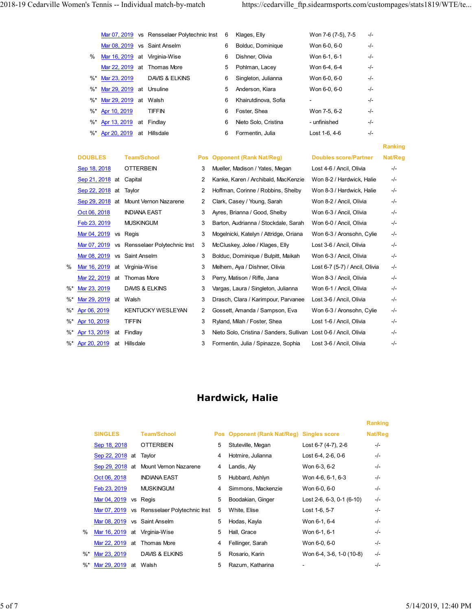| 2018-19 Cedarville Women's Tennis -- Individual match-by-match         |                |                                                                           |                                                       | https://cedarville_ftp.sidearmsports.com/custompages/stats1819/WTE/te |
|------------------------------------------------------------------------|----------------|---------------------------------------------------------------------------|-------------------------------------------------------|-----------------------------------------------------------------------|
|                                                                        |                |                                                                           |                                                       |                                                                       |
| Mar 07, 2019 vs Rensselaer Polytechnic Inst 6                          |                | Klages, Elly                                                              | Won 7-6 (7-5), 7-5<br>-/-                             |                                                                       |
| Mar 08, 2019 vs Saint Anselm                                           |                | Bolduc, Dominique<br>6                                                    | Won 6-0, 6-0<br>-/-                                   |                                                                       |
| % Mar 16, 2019 at Virginia-Wise                                        |                | Dishner, Olivia<br>6                                                      | Won 6-1, 6-1<br>-/-                                   |                                                                       |
| Mar 22, 2019 at Thomas More                                            |                | Pohlman, Lacey<br>5                                                       | Won 6-4, 6-4<br>-/-                                   |                                                                       |
| DAVIS & ELKINS<br>%* Mar 23, 2019                                      |                | 6 Singleton, Julianna                                                     | Won 6-0, 6-0<br>$-/-$                                 |                                                                       |
| %* Mar 29, 2019 at Ursuline                                            |                | 5 Anderson, Kiara                                                         | Won 6-0, 6-0<br>-/-                                   |                                                                       |
|                                                                        |                |                                                                           |                                                       |                                                                       |
| %* Mar 29, 2019 at Walsh                                               |                | Khairutdinova, Sofia<br>6                                                 | -/-<br>$\sim$                                         |                                                                       |
| <b>TIFFIN</b><br>%* Apr 10, 2019                                       |                | Foster, Shea<br>6                                                         | Won 7-5, 6-2<br>-/-                                   |                                                                       |
| %* Apr 13, 2019 at Findlay                                             |                | Nieto Solo, Cristina<br>6                                                 | - unfinished<br>-/-                                   |                                                                       |
| %* Apr 20, 2019 at Hillsdale                                           |                | 6<br>Formentin, Julia                                                     | $-/-$<br>Lost 1-6, 4-6                                |                                                                       |
|                                                                        |                |                                                                           |                                                       |                                                                       |
|                                                                        |                |                                                                           |                                                       | Ranking                                                               |
| <b>DOUBLES</b><br><b>Team/School</b>                                   |                | Pos Opponent (Rank Nat/Reg)                                               | <b>Doubles score/Partner</b>                          | Nat/Reg                                                               |
| <b>OTTERBEIN</b><br>Sep 18, 2018                                       | 3              | Mueller, Madison / Yates, Megan                                           | Lost 4-6 / Ancil, Olivia                              | $-/-$                                                                 |
| Sep 21, 2018 at Capital                                                | $\overline{2}$ | Kanke, Karen / Archibald, MacKenzie                                       | Won 8-2 / Hardwick, Halie                             | -/-                                                                   |
| Sep 22, 2018 at Taylor                                                 | $\overline{2}$ | Hoffman, Corinne / Robbins, Shelby                                        | Won 8-3 / Hardwick, Halie                             | $-/-$                                                                 |
| Sep 29, 2018 at Mount Vernon Nazarene                                  | $\overline{2}$ | Clark, Casey / Young, Sarah                                               | Won 8-2 / Ancil, Olivia                               | $-/-$                                                                 |
| Oct 06, 2018<br><b>INDIANA EAST</b>                                    | 3              | Ayres, Brianna / Good, Shelby                                             | Won 6-3 / Ancil, Olivia                               | -/-                                                                   |
| Feb 23, 2019<br><b>MUSKINGUM</b>                                       | 3              | Barton, Audrianna / Stockdale, Sarah                                      | Won 6-0 / Ancil, Olivia                               | -/-                                                                   |
| Mar 04, 2019 vs Regis<br>Mar 07, 2019 vs Rensselaer Polytechnic Inst 3 | 3              | Mogelnicki, Katelyn / Attridge, Oriana<br>McCluskey, Jolee / Klages, Elly | Won 6-3 / Aronsohn, Cylie<br>Lost 3-6 / Ancil, Olivia | -/-<br>-/-                                                            |

|    |                                       |                           | Mar 07, 2019 vs Rensselaer Polytechnic Inst   |     | 6              | Klages, Elly                                 | Won 7-6 (7-5), 7-5             | $-/-$   |                |
|----|---------------------------------------|---------------------------|-----------------------------------------------|-----|----------------|----------------------------------------------|--------------------------------|---------|----------------|
|    |                                       |                           | Mar 08, 2019 vs Saint Anselm                  |     | 6              | Bolduc, Dominique                            | Won 6-0, 6-0                   | -/-     |                |
|    | %                                     |                           | Mar 16, 2019 at Virginia-Wise                 |     | 6              | Dishner, Olivia                              | Won 6-1, 6-1                   | -/-     |                |
|    |                                       |                           | Mar 22, 2019 at Thomas More                   |     | 5              | Pohlman, Lacey                               | Won 6-4, 6-4                   | -/-     |                |
|    | $\%^*$<br>Mar 23, 2019                |                           | DAVIS & ELKINS                                |     | 6              | Singleton, Julianna                          | Won 6-0, 6-0                   | -/-     |                |
|    | %*                                    | Mar 29, 2019 at Ursuline  |                                               |     | 5              | Anderson, Kiara                              | Won 6-0, 6-0                   | -/-     |                |
|    | %*                                    | Mar 29, 2019 at Walsh     |                                               |     | 6              | Khairutdinova, Sofia                         |                                | -/-     |                |
|    | $\%^*$<br>Apr 10, 2019                |                           | <b>TIFFIN</b>                                 |     | 6              | Foster, Shea                                 | Won 7-5, 6-2                   | -/-     |                |
|    | $\%^*$<br>Apr 13, 2019                |                           | at Findlay                                    |     | 6              | Nieto Solo, Cristina                         | - unfinished                   | -/-     |                |
|    | $%$ *                                 | Apr 20, 2019 at Hillsdale |                                               |     | 6              | Formentin, Julia                             | Lost 1-6, 4-6                  | -/-     |                |
|    |                                       |                           |                                               |     |                |                                              |                                |         | <b>Ranking</b> |
|    | <b>DOUBLES</b>                        | <b>Team/School</b>        |                                               | Pos |                | <b>Opponent (Rank Nat/Reg)</b>               | <b>Doubles score/Partner</b>   |         | Nat/Reg        |
|    | Sep 18, 2018                          | <b>OTTERBEIN</b>          |                                               | 3   |                | Mueller, Madison / Yates, Megan              | Lost 4-6 / Ancil, Olivia       |         | -/-            |
|    | Sep 21, 2018 at                       | Capital                   |                                               | 2   |                | Kanke, Karen / Archibald, MacKenzie          | Won 8-2 / Hardwick, Halie      |         | $-/-$          |
|    | Sep 22, 2018 at                       | Taylor                    |                                               | 2   |                | Hoffman, Corinne / Robbins, Shelby           | Won 8-3 / Hardwick, Halie      |         | -/-            |
|    | Sep 29, 2018 at Mount Vernon Nazarene |                           |                                               | 2   |                | Clark, Casey / Young, Sarah                  | Won 8-2 / Ancil, Olivia        |         | -/-            |
|    | Oct 06, 2018                          | <b>INDIANA EAST</b>       |                                               | 3   |                | Ayres, Brianna / Good, Shelby                | Won 6-3 / Ancil, Olivia        |         | -/-            |
|    | Feb 23, 2019                          | <b>MUSKINGUM</b>          |                                               | 3   |                | Barton, Audrianna / Stockdale, Sarah         | Won 6-0 / Ancil, Olivia        |         | -/-            |
|    | Mar 04, 2019 vs Regis                 |                           |                                               | 3   |                | Mogelnicki, Katelyn / Attridge, Oriana       | Won 6-3 / Aronsohn, Cylie      |         | -/-            |
|    |                                       |                           | Mar 07, 2019 vs Rensselaer Polytechnic Inst 3 |     |                | McCluskey, Jolee / Klages, Elly              | Lost 3-6 / Ancil, Olivia       |         | -/-            |
|    | Mar 08, 2019                          | vs Saint Anselm           |                                               | 3   |                | Bolduc, Dominique / Bulpitt, Maikah          | Won 6-3 / Ancil, Olivia        |         | $-/-$          |
| ℅  | Mar 16, 2019<br>at                    | Virginia-Wise             |                                               | 3   |                | Melhem, Aya / Dishner, Olivia                | Lost 6-7 (5-7) / Ancil, Olivia |         | -/-            |
|    | Mar 22, 2019 at Thomas More           |                           |                                               | 3   |                | Perry, Matison / Riffe, Jana                 | Won 8-3 / Ancil, Olivia        |         | -/-            |
| %* | Mar 23, 2019                          | DAVIS & ELKINS            |                                               | 3   |                | Vargas, Laura / Singleton, Julianna          | Won 6-1 / Ancil, Olivia        |         | -/-            |
| %* | Mar 29, 2019 at Walsh                 |                           |                                               | 3   |                | Drasch, Clara / Karimpour, Parvanee          | Lost 3-6 / Ancil, Olivia       |         | -/-            |
| %* | Apr 06, 2019                          |                           | KENTUCKY WESLEYAN                             | 2   |                | Gossett, Amanda / Sampson, Eva               | Won 6-3 / Aronsohn, Cylie      |         | -/-            |
|    | %* Apr 10, 2019                       | <b>TIFFIN</b>             |                                               | 3   |                | Ryland, Milah / Foster, Shea                 | Lost 1-6 / Ancil, Olivia       |         | -/-            |
|    | %* Apr 13, 2019 at                    | Findlay                   |                                               | 3   |                | Nieto Solo, Cristina / Sanders, Sullivan     | Lost 0-6 / Ancil, Olivia       |         | -/-            |
|    | %* Apr 20, 2019<br>at                 | Hillsdale                 |                                               | 3   |                | Formentin, Julia / Spinazze, Sophia          | Lost 3-6 / Ancil, Olivia       |         | -/-            |
|    |                                       |                           |                                               |     |                | Hardwick, Halie                              |                                |         |                |
|    |                                       |                           |                                               |     |                |                                              |                                | Ranking |                |
|    | <b>SINGLES</b>                        |                           | <b>Team/School</b>                            |     | Pos            | <b>Opponent (Rank Nat/Reg) Singles score</b> |                                | Nat/Reg |                |
|    | Sep 18, 2018                          |                           | <b>OTTERBEIN</b>                              |     | 5              | Stuteville, Megan                            | Lost 6-7 (4-7), 2-6            | $-/-$   |                |
|    | Sep 22, 2018 at                       | Taylor                    |                                               |     | $\overline{4}$ | Hotmire, Julianna                            | Lost 6-4, 2-6, 0-6             | $-/-$   |                |
|    |                                       |                           | Sep 29, 2018 at Mount Vernon Nazarene         |     | 4              | Landis, Aly                                  | Won 6-3, 6-2                   | $-/-$   |                |
|    | Oct 06, 2018                          |                           | <b>INDIANA EAST</b>                           |     | 5              | Hubbard, Ashlyn                              | Won 4-6, 6-1, 6-3              | $-/-$   |                |
|    | Feb 23, 2019                          |                           | <b>MUSKINGUM</b>                              |     | $\overline{4}$ | Simmons, Mackenzie                           | Won 6-0, 6-0                   | $-/-$   |                |
|    |                                       | Mar 04, 2019 vs Regis     |                                               |     | 5              | Boodakian, Ginger                            | Lost 2-6, 6-3, 0-1 (6-10)      | $-/-$   |                |

#### Hardwick, Halie

|    | ar 16, 2019 at             |               | Virginia-Wise                               | 3 |   | Melhem, Aya / Dishner, Olivia                                     | Lost 6-7 (5-7) / Ancil, Olivia |         | -/- |                     |
|----|----------------------------|---------------|---------------------------------------------|---|---|-------------------------------------------------------------------|--------------------------------|---------|-----|---------------------|
|    | ar 22, 2019 at Thomas More |               |                                             | 3 |   | Perry, Matison / Riffe, Jana                                      | Won 8-3 / Ancil, Olivia        |         | -/- |                     |
|    | ar 23, 2019                |               | DAVIS & ELKINS                              | 3 |   | Vargas, Laura / Singleton, Julianna                               | Won 6-1 / Ancil, Olivia        |         | -/- |                     |
|    | ar 29, 2019 at Walsh       |               |                                             | 3 |   | Drasch, Clara / Karimpour, Parvanee                               | Lost 3-6 / Ancil, Olivia       |         | -/- |                     |
|    | or 06, 2019                |               | KENTUCKY WESLEYAN                           | 2 |   | Gossett, Amanda / Sampson, Eva                                    | Won 6-3 / Aronsohn, Cylie      |         | -/- |                     |
|    | or 10, 2019                | <b>TIFFIN</b> |                                             | 3 |   | Ryland, Milah / Foster, Shea                                      | Lost 1-6 / Ancil, Olivia       |         | -/- |                     |
|    | or 13, 2019<br>at          | Findlay       |                                             | 3 |   | Nieto Solo, Cristina / Sanders, Sullivan Lost 0-6 / Ancil, Olivia |                                |         | -/- |                     |
|    | or 20, 2019                | at Hillsdale  |                                             | 3 |   | Formentin, Julia / Spinazze, Sophia                               | Lost 3-6 / Ancil, Olivia       |         | -/- |                     |
|    |                            |               |                                             |   |   |                                                                   |                                |         |     |                     |
|    |                            |               |                                             |   |   |                                                                   |                                |         |     |                     |
|    |                            |               |                                             |   |   |                                                                   |                                |         |     |                     |
|    |                            |               |                                             |   |   | <b>Hardwick, Halie</b>                                            |                                |         |     |                     |
|    |                            |               |                                             |   |   |                                                                   |                                |         |     |                     |
|    |                            |               |                                             |   |   |                                                                   |                                | Ranking |     |                     |
|    | <b>SINGLES</b>             |               | <b>Team/School</b>                          |   |   | Pos Opponent (Rank Nat/Reg) Singles score                         |                                | Nat/Reg |     |                     |
|    | Sep 18, 2018               |               | <b>OTTERBEIN</b>                            |   | 5 | Stuteville, Megan                                                 | Lost 6-7 (4-7), 2-6            | -/-     |     |                     |
|    | Sep 22, 2018 at            |               | Taylor                                      |   | 4 | Hotmire, Julianna                                                 | Lost 6-4, 2-6, 0-6             | -/-     |     |                     |
|    |                            |               | Sep 29, 2018 at Mount Vernon Nazarene       |   | 4 | Landis, Aly                                                       | Won 6-3, 6-2                   | -/-     |     |                     |
|    | Oct 06, 2018               |               | <b>INDIANA EAST</b>                         |   | 5 | Hubbard, Ashlyn                                                   | Won 4-6, 6-1, 6-3              | -/-     |     |                     |
|    | Feb 23, 2019               |               | <b>MUSKINGUM</b>                            |   | 4 | Simmons, Mackenzie                                                | Won 6-0, 6-0                   | -/-     |     |                     |
|    | Mar 04, 2019 vs Regis      |               |                                             |   | 5 | Boodakian, Ginger                                                 | Lost 2-6, 6-3, 0-1 (6-10)      | -/-     |     |                     |
|    |                            |               | Mar 07, 2019 vs Rensselaer Polytechnic Inst |   | 5 | White, Elise                                                      | Lost 1-6, 5-7                  | -/-     |     |                     |
|    |                            |               | Mar 08, 2019 vs Saint Anselm                |   | 5 | Hodas, Kayla                                                      | Won 6-1, 6-4                   | -/-     |     |                     |
| ℅  |                            |               | Mar 16, 2019 at Virginia-Wise               |   | 5 | Hall, Grace                                                       | Won 6-1, 6-1                   | -/-     |     |                     |
|    |                            |               | Mar 22, 2019 at Thomas More                 |   | 4 | Fellinger, Sarah                                                  | Won 6-0, 6-0                   | -/-     |     |                     |
| %* | Mar 23, 2019               |               | DAVIS & ELKINS                              |   | 5 | Rosario, Karin                                                    | Won 6-4, 3-6, 1-0 (10-8)       | -/-     |     |                     |
|    | %* Mar 29, 2019 at Walsh   |               |                                             |   | 5 | Razum, Katharina                                                  |                                | -/-     |     |                     |
|    |                            |               |                                             |   |   |                                                                   |                                |         |     |                     |
|    |                            |               |                                             |   |   |                                                                   |                                |         |     |                     |
|    |                            |               |                                             |   |   |                                                                   |                                |         |     |                     |
|    |                            |               |                                             |   |   |                                                                   |                                |         |     | 5/14/2019, 12:40 PM |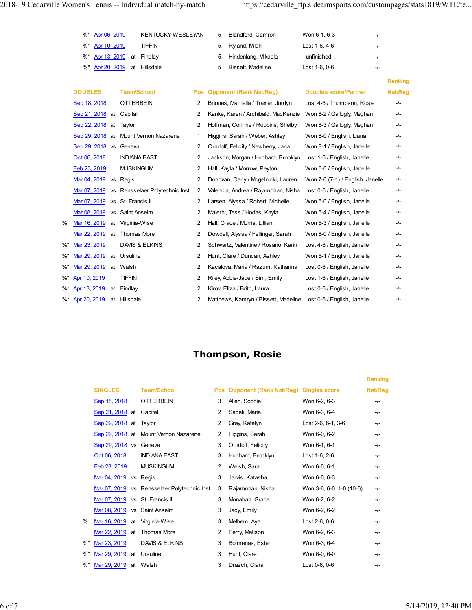| 2018-19 Cedarville Women's Tennis -- Individual match-by-match<br>KENTUCKY WESLEYAN<br>Won 6-1, 6-3<br>Apr 06, 2019<br>Blandford, Camron<br>-/-<br>%*<br>5<br><b>TIFFIN</b><br>%* Apr 10, 2019<br>Lost 1-6, 4-6<br>$-/-$<br>Ryland, Milah<br>5<br>%* Apr 13, 2019 at Findlay<br>Hindenlang, Mikaela<br>- unfinished<br>-/-<br>5<br>$-/-$<br>%* Apr 20, 2019 at Hillsdale<br>5<br>Bissett, Madeline<br>Lost 1-6, 0-6<br>Ranking<br><b>DOUBLES</b><br><b>Team/School</b><br><b>Pos Opponent (Rank Nat/Reg)</b><br><b>Doubles score/Partner</b><br>Nat/Reg<br>Sep 18, 2018<br><b>OTTERBEIN</b><br>Lost 4-6 / Thompson, Rosie<br>2 Briones, Marriella / Traxler, Jordyn<br>-/-<br>Sep 21, 2018 at<br>Capital<br>Kanke, Karen / Archibald, MacKenzie Won 8-2 / Gallogly, Meghan<br>2<br>-/-<br>2 Hoffman, Corinne / Robbins, Shelby<br>Won 8-3 / Gallogly, Meghan<br>Sep 22, 2018 at Taylor<br>$-/-$<br>Sep 29, 2018 at Mount Vernon Nazarene<br>Higgins, Sarah / Weber, Ashley<br>Won 8-0 / English, Liana<br>-/-<br>Sep 29, 2018 vs Geneva<br>2 Orndoff, Felicity / Newberry, Jana<br>Won 8-1 / English, Janelle<br>-/-<br>Oct 06, 2018<br><b>INDIANA EAST</b><br>2 Jackson, Morgan / Hubbard, Brooklyn Lost 1-6 / English, Janelle<br>-/-<br><b>MUSKINGUM</b><br>Feb 23, 2019<br>Hall, Kayla / Morrow, Peyton<br>Won 6-0 / English, Janelle<br>$\mathbf{2}$<br>-/-<br>Mar 04, 2019 vs Regis<br>2 Donovan, Carly / Mogelnicki, Lauren<br>Won 7-6 (7-1) / English, Janelle<br>-/-<br>Mar 07, 2019 vs Rensselaer Polytechnic Inst<br>Valencia, Andrea / Rajamohan, Nisha<br>Lost 0-6 / English, Janelle<br>$\overline{2}$<br>-/-<br>Mar 07, 2019 vs St. Francis IL<br>2 Larsen, Alyssa / Robert, Michelle<br>Won 6-0 / English, Janelle<br>-/-<br>Mar 08, 2019 vs Saint Anselm<br>2 Malerbi, Tess / Hodas, Kayla<br>Won 6-4 / English, Janelle<br>-/-<br>%<br>Mar 16, 2019 at Virginia-Wise<br>Hall, Grace / Morris, Lillian<br>Won 6-3 / English, Janelle<br>$\mathbf{2}$<br>-/-<br>Mar 22, 2019 at Thomas More<br>Dowdell, Alyssa / Fellinger, Sarah<br>Won 8-0 / English, Janelle<br>$\mathbf{2}$<br>-/-<br>%* Mar 23, 2019<br>DAVIS & ELKINS<br>2 Schwartz, Valentine / Rosario, Karin<br>Lost 4-6 / English, Janelle<br>-/-<br>%* Mar 29, 2019 at Ursuline<br>Hunt, Clare / Duncan, Ashley<br>Won 6-1 / English, Janelle<br>$\mathbf{2}$<br>-/-<br>$\%^*$<br>Mar 29, 2019 at Walsh<br>2 Kacalova, Maria / Razum, Katharina<br>Lost 0-6 / English, Janelle<br>-/-<br><b>TIFFIN</b><br>%* Apr 10, 2019<br>Riley, Abbie-Jade / Sim, Emily<br>Lost 1-6 / English, Janelle<br>$\mathbf{2}$<br>-/-<br>Apr 13, 2019<br>Findlay<br>Kirov, Eliza / Brito, Laura<br>Lost 0-6 / English, Janelle<br>$\%^*$<br>at<br>$\overline{2}$<br>-/-<br>Apr 20, 2019 at Hillsdale<br>2 Matthews, Kamryn / Bissett, Madeline Lost 0-6 / English, Janelle |        |  |  |  |     |  |
|-----------------------------------------------------------------------------------------------------------------------------------------------------------------------------------------------------------------------------------------------------------------------------------------------------------------------------------------------------------------------------------------------------------------------------------------------------------------------------------------------------------------------------------------------------------------------------------------------------------------------------------------------------------------------------------------------------------------------------------------------------------------------------------------------------------------------------------------------------------------------------------------------------------------------------------------------------------------------------------------------------------------------------------------------------------------------------------------------------------------------------------------------------------------------------------------------------------------------------------------------------------------------------------------------------------------------------------------------------------------------------------------------------------------------------------------------------------------------------------------------------------------------------------------------------------------------------------------------------------------------------------------------------------------------------------------------------------------------------------------------------------------------------------------------------------------------------------------------------------------------------------------------------------------------------------------------------------------------------------------------------------------------------------------------------------------------------------------------------------------------------------------------------------------------------------------------------------------------------------------------------------------------------------------------------------------------------------------------------------------------------------------------------------------------------------------------------------------------------------------------------------------------------------------------------------------------------------------------------------------------------------------------------------------------------------------------------------------------------------------------------------------------------------------------------------------------------------|--------|--|--|--|-----|--|
|                                                                                                                                                                                                                                                                                                                                                                                                                                                                                                                                                                                                                                                                                                                                                                                                                                                                                                                                                                                                                                                                                                                                                                                                                                                                                                                                                                                                                                                                                                                                                                                                                                                                                                                                                                                                                                                                                                                                                                                                                                                                                                                                                                                                                                                                                                                                                                                                                                                                                                                                                                                                                                                                                                                                                                                                                                   |        |  |  |  |     |  |
|                                                                                                                                                                                                                                                                                                                                                                                                                                                                                                                                                                                                                                                                                                                                                                                                                                                                                                                                                                                                                                                                                                                                                                                                                                                                                                                                                                                                                                                                                                                                                                                                                                                                                                                                                                                                                                                                                                                                                                                                                                                                                                                                                                                                                                                                                                                                                                                                                                                                                                                                                                                                                                                                                                                                                                                                                                   |        |  |  |  |     |  |
|                                                                                                                                                                                                                                                                                                                                                                                                                                                                                                                                                                                                                                                                                                                                                                                                                                                                                                                                                                                                                                                                                                                                                                                                                                                                                                                                                                                                                                                                                                                                                                                                                                                                                                                                                                                                                                                                                                                                                                                                                                                                                                                                                                                                                                                                                                                                                                                                                                                                                                                                                                                                                                                                                                                                                                                                                                   |        |  |  |  |     |  |
|                                                                                                                                                                                                                                                                                                                                                                                                                                                                                                                                                                                                                                                                                                                                                                                                                                                                                                                                                                                                                                                                                                                                                                                                                                                                                                                                                                                                                                                                                                                                                                                                                                                                                                                                                                                                                                                                                                                                                                                                                                                                                                                                                                                                                                                                                                                                                                                                                                                                                                                                                                                                                                                                                                                                                                                                                                   |        |  |  |  |     |  |
| https://cedarville_ftp.sidearmsports.com/custompages/stats1819/WTE/te                                                                                                                                                                                                                                                                                                                                                                                                                                                                                                                                                                                                                                                                                                                                                                                                                                                                                                                                                                                                                                                                                                                                                                                                                                                                                                                                                                                                                                                                                                                                                                                                                                                                                                                                                                                                                                                                                                                                                                                                                                                                                                                                                                                                                                                                                                                                                                                                                                                                                                                                                                                                                                                                                                                                                             |        |  |  |  |     |  |
|                                                                                                                                                                                                                                                                                                                                                                                                                                                                                                                                                                                                                                                                                                                                                                                                                                                                                                                                                                                                                                                                                                                                                                                                                                                                                                                                                                                                                                                                                                                                                                                                                                                                                                                                                                                                                                                                                                                                                                                                                                                                                                                                                                                                                                                                                                                                                                                                                                                                                                                                                                                                                                                                                                                                                                                                                                   |        |  |  |  |     |  |
|                                                                                                                                                                                                                                                                                                                                                                                                                                                                                                                                                                                                                                                                                                                                                                                                                                                                                                                                                                                                                                                                                                                                                                                                                                                                                                                                                                                                                                                                                                                                                                                                                                                                                                                                                                                                                                                                                                                                                                                                                                                                                                                                                                                                                                                                                                                                                                                                                                                                                                                                                                                                                                                                                                                                                                                                                                   |        |  |  |  |     |  |
|                                                                                                                                                                                                                                                                                                                                                                                                                                                                                                                                                                                                                                                                                                                                                                                                                                                                                                                                                                                                                                                                                                                                                                                                                                                                                                                                                                                                                                                                                                                                                                                                                                                                                                                                                                                                                                                                                                                                                                                                                                                                                                                                                                                                                                                                                                                                                                                                                                                                                                                                                                                                                                                                                                                                                                                                                                   |        |  |  |  |     |  |
|                                                                                                                                                                                                                                                                                                                                                                                                                                                                                                                                                                                                                                                                                                                                                                                                                                                                                                                                                                                                                                                                                                                                                                                                                                                                                                                                                                                                                                                                                                                                                                                                                                                                                                                                                                                                                                                                                                                                                                                                                                                                                                                                                                                                                                                                                                                                                                                                                                                                                                                                                                                                                                                                                                                                                                                                                                   |        |  |  |  |     |  |
|                                                                                                                                                                                                                                                                                                                                                                                                                                                                                                                                                                                                                                                                                                                                                                                                                                                                                                                                                                                                                                                                                                                                                                                                                                                                                                                                                                                                                                                                                                                                                                                                                                                                                                                                                                                                                                                                                                                                                                                                                                                                                                                                                                                                                                                                                                                                                                                                                                                                                                                                                                                                                                                                                                                                                                                                                                   |        |  |  |  |     |  |
|                                                                                                                                                                                                                                                                                                                                                                                                                                                                                                                                                                                                                                                                                                                                                                                                                                                                                                                                                                                                                                                                                                                                                                                                                                                                                                                                                                                                                                                                                                                                                                                                                                                                                                                                                                                                                                                                                                                                                                                                                                                                                                                                                                                                                                                                                                                                                                                                                                                                                                                                                                                                                                                                                                                                                                                                                                   |        |  |  |  |     |  |
|                                                                                                                                                                                                                                                                                                                                                                                                                                                                                                                                                                                                                                                                                                                                                                                                                                                                                                                                                                                                                                                                                                                                                                                                                                                                                                                                                                                                                                                                                                                                                                                                                                                                                                                                                                                                                                                                                                                                                                                                                                                                                                                                                                                                                                                                                                                                                                                                                                                                                                                                                                                                                                                                                                                                                                                                                                   |        |  |  |  |     |  |
|                                                                                                                                                                                                                                                                                                                                                                                                                                                                                                                                                                                                                                                                                                                                                                                                                                                                                                                                                                                                                                                                                                                                                                                                                                                                                                                                                                                                                                                                                                                                                                                                                                                                                                                                                                                                                                                                                                                                                                                                                                                                                                                                                                                                                                                                                                                                                                                                                                                                                                                                                                                                                                                                                                                                                                                                                                   |        |  |  |  |     |  |
|                                                                                                                                                                                                                                                                                                                                                                                                                                                                                                                                                                                                                                                                                                                                                                                                                                                                                                                                                                                                                                                                                                                                                                                                                                                                                                                                                                                                                                                                                                                                                                                                                                                                                                                                                                                                                                                                                                                                                                                                                                                                                                                                                                                                                                                                                                                                                                                                                                                                                                                                                                                                                                                                                                                                                                                                                                   |        |  |  |  |     |  |
|                                                                                                                                                                                                                                                                                                                                                                                                                                                                                                                                                                                                                                                                                                                                                                                                                                                                                                                                                                                                                                                                                                                                                                                                                                                                                                                                                                                                                                                                                                                                                                                                                                                                                                                                                                                                                                                                                                                                                                                                                                                                                                                                                                                                                                                                                                                                                                                                                                                                                                                                                                                                                                                                                                                                                                                                                                   |        |  |  |  |     |  |
|                                                                                                                                                                                                                                                                                                                                                                                                                                                                                                                                                                                                                                                                                                                                                                                                                                                                                                                                                                                                                                                                                                                                                                                                                                                                                                                                                                                                                                                                                                                                                                                                                                                                                                                                                                                                                                                                                                                                                                                                                                                                                                                                                                                                                                                                                                                                                                                                                                                                                                                                                                                                                                                                                                                                                                                                                                   |        |  |  |  |     |  |
|                                                                                                                                                                                                                                                                                                                                                                                                                                                                                                                                                                                                                                                                                                                                                                                                                                                                                                                                                                                                                                                                                                                                                                                                                                                                                                                                                                                                                                                                                                                                                                                                                                                                                                                                                                                                                                                                                                                                                                                                                                                                                                                                                                                                                                                                                                                                                                                                                                                                                                                                                                                                                                                                                                                                                                                                                                   |        |  |  |  |     |  |
|                                                                                                                                                                                                                                                                                                                                                                                                                                                                                                                                                                                                                                                                                                                                                                                                                                                                                                                                                                                                                                                                                                                                                                                                                                                                                                                                                                                                                                                                                                                                                                                                                                                                                                                                                                                                                                                                                                                                                                                                                                                                                                                                                                                                                                                                                                                                                                                                                                                                                                                                                                                                                                                                                                                                                                                                                                   |        |  |  |  |     |  |
|                                                                                                                                                                                                                                                                                                                                                                                                                                                                                                                                                                                                                                                                                                                                                                                                                                                                                                                                                                                                                                                                                                                                                                                                                                                                                                                                                                                                                                                                                                                                                                                                                                                                                                                                                                                                                                                                                                                                                                                                                                                                                                                                                                                                                                                                                                                                                                                                                                                                                                                                                                                                                                                                                                                                                                                                                                   |        |  |  |  |     |  |
|                                                                                                                                                                                                                                                                                                                                                                                                                                                                                                                                                                                                                                                                                                                                                                                                                                                                                                                                                                                                                                                                                                                                                                                                                                                                                                                                                                                                                                                                                                                                                                                                                                                                                                                                                                                                                                                                                                                                                                                                                                                                                                                                                                                                                                                                                                                                                                                                                                                                                                                                                                                                                                                                                                                                                                                                                                   |        |  |  |  |     |  |
|                                                                                                                                                                                                                                                                                                                                                                                                                                                                                                                                                                                                                                                                                                                                                                                                                                                                                                                                                                                                                                                                                                                                                                                                                                                                                                                                                                                                                                                                                                                                                                                                                                                                                                                                                                                                                                                                                                                                                                                                                                                                                                                                                                                                                                                                                                                                                                                                                                                                                                                                                                                                                                                                                                                                                                                                                                   |        |  |  |  |     |  |
|                                                                                                                                                                                                                                                                                                                                                                                                                                                                                                                                                                                                                                                                                                                                                                                                                                                                                                                                                                                                                                                                                                                                                                                                                                                                                                                                                                                                                                                                                                                                                                                                                                                                                                                                                                                                                                                                                                                                                                                                                                                                                                                                                                                                                                                                                                                                                                                                                                                                                                                                                                                                                                                                                                                                                                                                                                   |        |  |  |  |     |  |
|                                                                                                                                                                                                                                                                                                                                                                                                                                                                                                                                                                                                                                                                                                                                                                                                                                                                                                                                                                                                                                                                                                                                                                                                                                                                                                                                                                                                                                                                                                                                                                                                                                                                                                                                                                                                                                                                                                                                                                                                                                                                                                                                                                                                                                                                                                                                                                                                                                                                                                                                                                                                                                                                                                                                                                                                                                   |        |  |  |  |     |  |
|                                                                                                                                                                                                                                                                                                                                                                                                                                                                                                                                                                                                                                                                                                                                                                                                                                                                                                                                                                                                                                                                                                                                                                                                                                                                                                                                                                                                                                                                                                                                                                                                                                                                                                                                                                                                                                                                                                                                                                                                                                                                                                                                                                                                                                                                                                                                                                                                                                                                                                                                                                                                                                                                                                                                                                                                                                   |        |  |  |  |     |  |
|                                                                                                                                                                                                                                                                                                                                                                                                                                                                                                                                                                                                                                                                                                                                                                                                                                                                                                                                                                                                                                                                                                                                                                                                                                                                                                                                                                                                                                                                                                                                                                                                                                                                                                                                                                                                                                                                                                                                                                                                                                                                                                                                                                                                                                                                                                                                                                                                                                                                                                                                                                                                                                                                                                                                                                                                                                   |        |  |  |  |     |  |
|                                                                                                                                                                                                                                                                                                                                                                                                                                                                                                                                                                                                                                                                                                                                                                                                                                                                                                                                                                                                                                                                                                                                                                                                                                                                                                                                                                                                                                                                                                                                                                                                                                                                                                                                                                                                                                                                                                                                                                                                                                                                                                                                                                                                                                                                                                                                                                                                                                                                                                                                                                                                                                                                                                                                                                                                                                   |        |  |  |  |     |  |
|                                                                                                                                                                                                                                                                                                                                                                                                                                                                                                                                                                                                                                                                                                                                                                                                                                                                                                                                                                                                                                                                                                                                                                                                                                                                                                                                                                                                                                                                                                                                                                                                                                                                                                                                                                                                                                                                                                                                                                                                                                                                                                                                                                                                                                                                                                                                                                                                                                                                                                                                                                                                                                                                                                                                                                                                                                   |        |  |  |  |     |  |
|                                                                                                                                                                                                                                                                                                                                                                                                                                                                                                                                                                                                                                                                                                                                                                                                                                                                                                                                                                                                                                                                                                                                                                                                                                                                                                                                                                                                                                                                                                                                                                                                                                                                                                                                                                                                                                                                                                                                                                                                                                                                                                                                                                                                                                                                                                                                                                                                                                                                                                                                                                                                                                                                                                                                                                                                                                   |        |  |  |  |     |  |
|                                                                                                                                                                                                                                                                                                                                                                                                                                                                                                                                                                                                                                                                                                                                                                                                                                                                                                                                                                                                                                                                                                                                                                                                                                                                                                                                                                                                                                                                                                                                                                                                                                                                                                                                                                                                                                                                                                                                                                                                                                                                                                                                                                                                                                                                                                                                                                                                                                                                                                                                                                                                                                                                                                                                                                                                                                   |        |  |  |  |     |  |
|                                                                                                                                                                                                                                                                                                                                                                                                                                                                                                                                                                                                                                                                                                                                                                                                                                                                                                                                                                                                                                                                                                                                                                                                                                                                                                                                                                                                                                                                                                                                                                                                                                                                                                                                                                                                                                                                                                                                                                                                                                                                                                                                                                                                                                                                                                                                                                                                                                                                                                                                                                                                                                                                                                                                                                                                                                   |        |  |  |  |     |  |
|                                                                                                                                                                                                                                                                                                                                                                                                                                                                                                                                                                                                                                                                                                                                                                                                                                                                                                                                                                                                                                                                                                                                                                                                                                                                                                                                                                                                                                                                                                                                                                                                                                                                                                                                                                                                                                                                                                                                                                                                                                                                                                                                                                                                                                                                                                                                                                                                                                                                                                                                                                                                                                                                                                                                                                                                                                   |        |  |  |  |     |  |
|                                                                                                                                                                                                                                                                                                                                                                                                                                                                                                                                                                                                                                                                                                                                                                                                                                                                                                                                                                                                                                                                                                                                                                                                                                                                                                                                                                                                                                                                                                                                                                                                                                                                                                                                                                                                                                                                                                                                                                                                                                                                                                                                                                                                                                                                                                                                                                                                                                                                                                                                                                                                                                                                                                                                                                                                                                   |        |  |  |  |     |  |
|                                                                                                                                                                                                                                                                                                                                                                                                                                                                                                                                                                                                                                                                                                                                                                                                                                                                                                                                                                                                                                                                                                                                                                                                                                                                                                                                                                                                                                                                                                                                                                                                                                                                                                                                                                                                                                                                                                                                                                                                                                                                                                                                                                                                                                                                                                                                                                                                                                                                                                                                                                                                                                                                                                                                                                                                                                   |        |  |  |  |     |  |
|                                                                                                                                                                                                                                                                                                                                                                                                                                                                                                                                                                                                                                                                                                                                                                                                                                                                                                                                                                                                                                                                                                                                                                                                                                                                                                                                                                                                                                                                                                                                                                                                                                                                                                                                                                                                                                                                                                                                                                                                                                                                                                                                                                                                                                                                                                                                                                                                                                                                                                                                                                                                                                                                                                                                                                                                                                   | $\%^*$ |  |  |  | -/- |  |

## Thompson, Rosie

|    | 22, 2019 at Thomas More  |               | 2                                           |   | Dowdell, Alyssa / Fellinger, Sarah                               | Won 8-0 / English, Janelle  |                | -/-                 |
|----|--------------------------|---------------|---------------------------------------------|---|------------------------------------------------------------------|-----------------------------|----------------|---------------------|
|    | 23, 2019                 |               | DAVIS & ELKINS<br>2                         |   | Schwartz, Valentine / Rosario, Karin                             | Lost 4-6 / English, Janelle |                | -/-                 |
|    | 29, 2019<br>at           | Ursuline      | 2                                           |   | Hunt, Clare / Duncan, Ashley                                     | Won 6-1 / English, Janelle  |                | $-/-$               |
|    | 29, 2019 at Walsh        |               | $\overline{2}$                              |   | Kacalova, Maria / Razum, Katharina                               | Lost 0-6 / English, Janelle |                | -/-                 |
|    | 10, 2019                 | <b>TIFFIN</b> | $\overline{c}$                              |   | Riley, Abbie-Jade / Sim, Emily                                   | Lost 1-6 / English, Janelle |                | $-/-$               |
|    | 13, 2019 at Findlay      |               | $\overline{2}$                              |   | Kirov, Eliza / Brito, Laura                                      | Lost 0-6 / English, Janelle |                | $-/-$               |
|    | 20, 2019 at              | Hillsdale     | 2                                           |   | Matthews, Kamryn / Bissett, Madeline Lost 0-6 / English, Janelle |                             |                | $-/-$               |
|    |                          |               |                                             |   |                                                                  |                             |                |                     |
|    |                          |               |                                             |   |                                                                  |                             |                |                     |
|    |                          |               |                                             |   |                                                                  |                             |                |                     |
|    |                          |               |                                             |   |                                                                  |                             |                |                     |
|    |                          |               |                                             |   | <b>Thompson, Rosie</b>                                           |                             |                |                     |
|    |                          |               |                                             |   |                                                                  |                             |                |                     |
|    |                          |               |                                             |   |                                                                  |                             | Ranking        |                     |
|    | <b>SINGLES</b>           |               | <b>Team/School</b>                          |   | <b>Opponent (Rank Nat/Reg) Singles score</b><br>Pos              |                             | <b>Nat/Reg</b> |                     |
|    | Sep 18, 2018             |               | <b>OTTERBEIN</b>                            | 3 | Allen, Sophie                                                    | Won 6-2, 6-3                | -/-            |                     |
|    | Sep 21, 2018 at Capital  |               |                                             |   | Sadek, Maria<br>2                                                | Won 6-3, 6-4                | -/-            |                     |
|    | Sep 22, 2018 at Taylor   |               |                                             |   | Gray, Katelyn<br>2                                               | Lost 2-6, 6-1, 3-6          | -/-            |                     |
|    |                          |               | Sep 29, 2018 at Mount Vernon Nazarene       |   | Higgins, Sarah<br>2                                              | Won 6-0, 6-2                | -/-            |                     |
|    | Sep 29, 2018 vs Geneva   |               |                                             | 3 | Orndoff, Felicity                                                | Won 6-1, 6-1                | -/-            |                     |
|    | Oct 06, 2018             |               | <b>INDIANA EAST</b>                         | 3 | Hubbard, Brooklyn                                                | Lost 1-6, 2-6               | -/-            |                     |
|    | Feb 23, 2019             |               | <b>MUSKINGUM</b>                            | 2 | Welsh, Sara                                                      | Won 6-0, 6-1                | -/-            |                     |
|    | Mar 04, 2019 vs Regis    |               |                                             | 3 | Jarvis, Katasha                                                  | Won 6-0, 6-3                | -/-            |                     |
|    |                          |               | Mar 07, 2019 vs Rensselaer Polytechnic Inst | 3 | Rajamohan, Nisha                                                 | Won 3-6, 6-0, 1-0 (10-6)    | -/-            |                     |
|    |                          |               | Mar 07, 2019 vs St. Francis IL              |   | Monahan, Grace<br>3                                              | Won 6-2, 6-2                | -/-            |                     |
|    |                          |               | Mar 08, 2019 vs Saint Anselm                | 3 | Jacy, Emily                                                      | Won 6-2, 6-2                | -/-            |                     |
| %  |                          |               | Mar 16, 2019 at Virginia-Wise               | 3 | Melhem, Aya                                                      | Lost 2-6, 0-6               | -/-            |                     |
|    |                          |               | Mar 22, 2019 at Thomas More                 | 2 | Perry, Matison                                                   | Won 6-2, 6-3                | -/-            |                     |
| %* | Mar 23, 2019             |               | DAVIS & ELKINS                              | 3 | Bolmenas, Ester                                                  | Won 6-3, 6-4                | -/-            |                     |
| %* | Mar 29, 2019 at Ursuline |               |                                             | 3 | Hunt, Clare                                                      | Won 6-0, 6-0                | -/-            |                     |
|    | %* Mar 29, 2019 at Walsh |               |                                             | 3 | Drasch, Clara                                                    | Lost 0-6, 0-6               | -/-            |                     |
|    |                          |               |                                             |   |                                                                  |                             |                |                     |
|    |                          |               |                                             |   |                                                                  |                             |                |                     |
|    |                          |               |                                             |   |                                                                  |                             |                |                     |
|    |                          |               |                                             |   |                                                                  |                             |                | 5/14/2019, 12:40 PM |